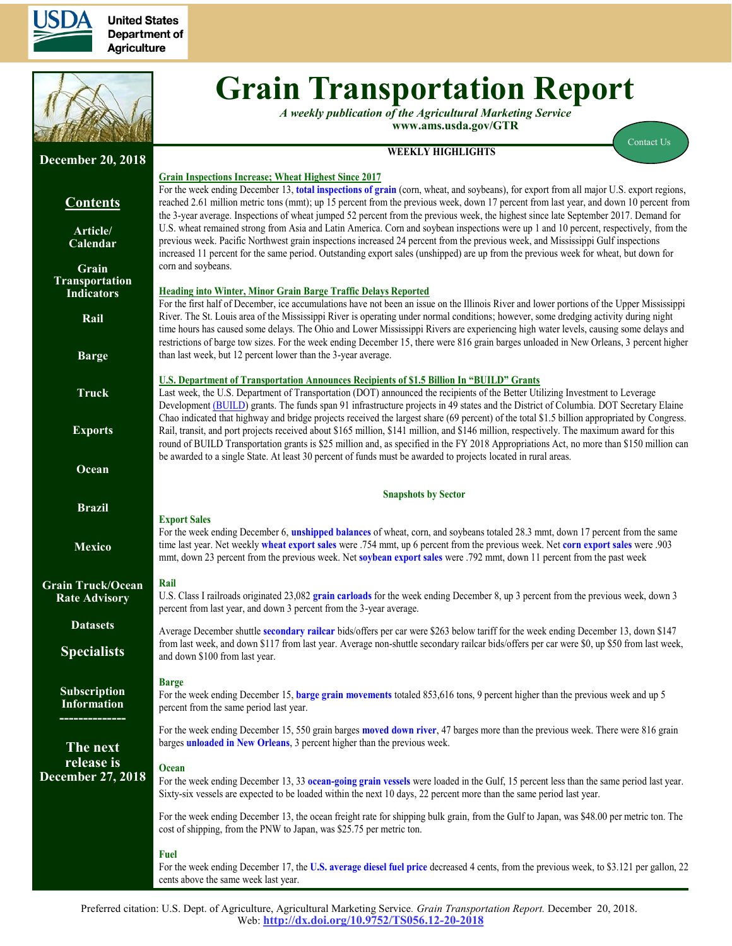

**United States Department of Agriculture** 



# **Grain Transportation Report**

*A weekly publication of the Agricultural Marketing Service*  **www.ams.usda.gov/GTR**

#### **WEEKLY HIGHLIGHTS**

[Contact Us](mailto:Surajudeen.Olowolayemo@ams.usda.gov) 

| <b>December 20, 2018</b>                            |                                                                                                                                                                                                                                                                                                                                                                                                                                                                                                                                                         |
|-----------------------------------------------------|---------------------------------------------------------------------------------------------------------------------------------------------------------------------------------------------------------------------------------------------------------------------------------------------------------------------------------------------------------------------------------------------------------------------------------------------------------------------------------------------------------------------------------------------------------|
| <b>Contents</b>                                     | <b>Grain Inspections Increase; Wheat Highest Since 2017</b><br>For the week ending December 13, total inspections of grain (corn, wheat, and soybeans), for export from all major U.S. export regions,<br>reached 2.61 million metric tons (mmt); up 15 percent from the previous week, down 17 percent from last year, and down 10 percent from<br>the 3-year average. Inspections of wheat jumped 52 percent from the previous week, the highest since late September 2017. Demand for                                                                |
| Article/<br>Calendar                                | U.S. wheat remained strong from Asia and Latin America. Corn and soybean inspections were up 1 and 10 percent, respectively, from the<br>previous week. Pacific Northwest grain inspections increased 24 percent from the previous week, and Mississippi Gulf inspections<br>increased 11 percent for the same period. Outstanding export sales (unshipped) are up from the previous week for wheat, but down for                                                                                                                                       |
| Grain<br><b>Transportation</b><br><b>Indicators</b> | corn and soybeans.<br><b>Heading into Winter, Minor Grain Barge Traffic Delays Reported</b><br>For the first half of December, ice accumulations have not been an issue on the Illinois River and lower portions of the Upper Mississippi                                                                                                                                                                                                                                                                                                               |
| Rail                                                | River. The St. Louis area of the Mississippi River is operating under normal conditions; however, some dredging activity during night<br>time hours has caused some delays. The Ohio and Lower Mississippi Rivers are experiencing high water levels, causing some delays and<br>restrictions of barge tow sizes. For the week ending December 15, there were 816 grain barges unloaded in New Orleans, 3 percent higher                                                                                                                                |
| <b>Barge</b>                                        | than last week, but 12 percent lower than the 3-year average.                                                                                                                                                                                                                                                                                                                                                                                                                                                                                           |
| <b>Truck</b>                                        | <b>U.S. Department of Transportation Announces Recipients of \$1.5 Billion In "BUILD" Grants</b><br>Last week, the U.S. Department of Transportation (DOT) announced the recipients of the Better Utilizing Investment to Leverage<br>Development (BUILD) grants. The funds span 91 infrastructure projects in 49 states and the District of Columbia. DOT Secretary Elaine                                                                                                                                                                             |
| <b>Exports</b>                                      | Chao indicated that highway and bridge projects received the largest share (69 percent) of the total \$1.5 billion appropriated by Congress.<br>Rail, transit, and port projects received about \$165 million, \$141 million, and \$146 million, respectively. The maximum award for this<br>round of BUILD Transportation grants is \$25 million and, as specified in the FY 2018 Appropriations Act, no more than \$150 million can<br>be awarded to a single State. At least 30 percent of funds must be awarded to projects located in rural areas. |
| Ocean                                               |                                                                                                                                                                                                                                                                                                                                                                                                                                                                                                                                                         |
|                                                     | <b>Snapshots by Sector</b>                                                                                                                                                                                                                                                                                                                                                                                                                                                                                                                              |
| <b>Brazil</b><br><b>Mexico</b>                      | <b>Export Sales</b><br>For the week ending December 6, unshipped balances of wheat, corn, and soybeans totaled 28.3 mmt, down 17 percent from the same<br>time last year. Net weekly wheat export sales were .754 mmt, up 6 percent from the previous week. Net corn export sales were .903<br>mmt, down 23 percent from the previous week. Net soybean export sales were .792 mmt, down 11 percent from the past week                                                                                                                                  |
| <b>Grain Truck/Ocean</b><br><b>Rate Advisory</b>    | Rail<br>U.S. Class I railroads originated 23,082 grain carloads for the week ending December 8, up 3 percent from the previous week, down 3<br>percent from last year, and down 3 percent from the 3-year average.                                                                                                                                                                                                                                                                                                                                      |
| <b>Datasets</b><br><b>Specialists</b>               | Average December shuttle secondary railcar bids/offers per car were \$263 below tariff for the week ending December 13, down \$147<br>from last week, and down \$117 from last year. Average non-shuttle secondary railcar bids/offers per car were \$0, up \$50 from last week,<br>and down \$100 from last year.                                                                                                                                                                                                                                      |
| Subscription<br><b>Information</b>                  | <b>Barge</b><br>For the week ending December 15, barge grain movements totaled 853,616 tons, 9 percent higher than the previous week and up 5<br>percent from the same period last year.                                                                                                                                                                                                                                                                                                                                                                |
| The next                                            | For the week ending December 15, 550 grain barges moved down river, 47 barges more than the previous week. There were 816 grain<br>barges <i>unloaded in New Orleans</i> , 3 percent higher than the previous week.                                                                                                                                                                                                                                                                                                                                     |
| release is<br><b>December 27, 2018</b>              | <b>Ocean</b><br>For the week ending December 13, 33 ocean-going grain vessels were loaded in the Gulf, 15 percent less than the same period last year.<br>Sixty-six vessels are expected to be loaded within the next 10 days, 22 percent more than the same period last year.                                                                                                                                                                                                                                                                          |
|                                                     | For the week ending December 13, the ocean freight rate for shipping bulk grain, from the Gulf to Japan, was \$48.00 per metric ton. The<br>cost of shipping, from the PNW to Japan, was \$25.75 per metric ton.                                                                                                                                                                                                                                                                                                                                        |
|                                                     | <b>Fuel</b><br>For the week ending December 17, the U.S. average diesel fuel price decreased 4 cents, from the previous week, to \$3.121 per gallon, 22<br>cents above the same week last year.                                                                                                                                                                                                                                                                                                                                                         |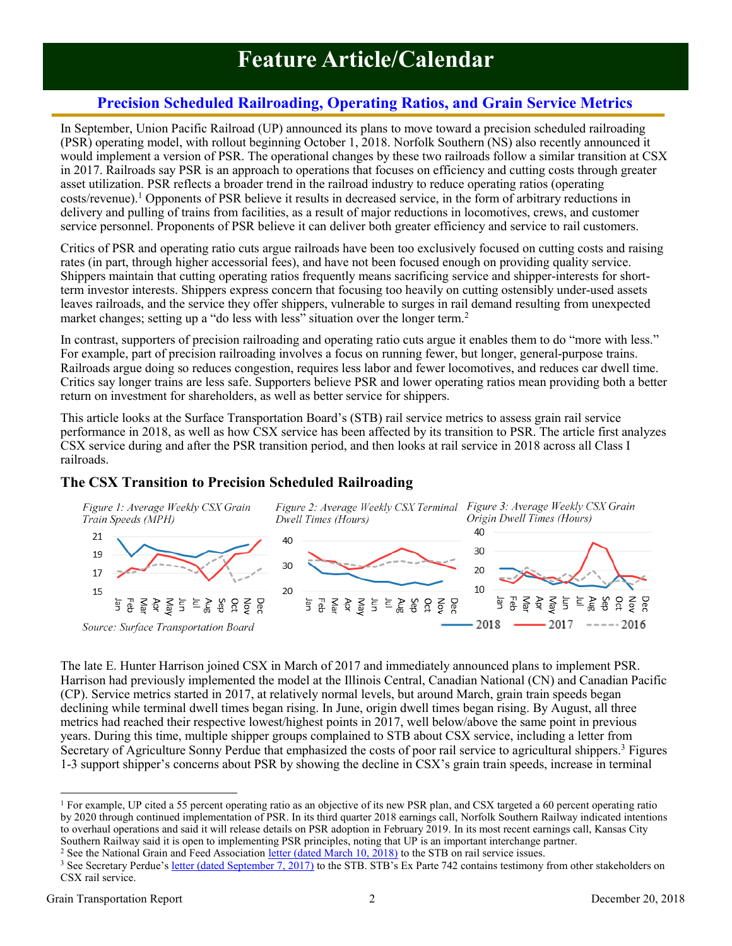## **Feature Article/Calendar**

### **Precision Scheduled Railroading, Operating Ratios, and Grain Service Metrics**

<span id="page-1-0"></span>In September, Union Pacific Railroad (UP) announced its plans to move toward a precision scheduled railroading (PSR) operating model, with rollout beginning October 1, 2018. Norfolk Southern (NS) also recently announced it would implement a version of PSR. The operational changes by these two railroads follow a similar transition at CSX in 2017. Railroads say PSR is an approach to operations that focuses on efficiency and cutting costs through greater asset utilization. PSR reflects a broader trend in the railroad industry to reduce operating ratios (operating costs/revenue). <sup>1</sup> Opponents of PSR believe it results in decreased service, in the form of arbitrary reductions in delivery and pulling of trains from facilities, as a result of major reductions in locomotives, crews, and customer service personnel. Proponents of PSR believe it can deliver both greater efficiency and service to rail customers.

Critics of PSR and operating ratio cuts argue railroads have been too exclusively focused on cutting costs and raising rates (in part, through higher accessorial fees), and have not been focused enough on providing quality service. Shippers maintain that cutting operating ratios frequently means sacrificing service and shipper-interests for shortterm investor interests. Shippers express concern that focusing too heavily on cutting ostensibly under-used assets leaves railroads, and the service they offer shippers, vulnerable to surges in rail demand resulting from unexpected market changes; setting up a "do less with less" situation over the longer term.<sup>2</sup>

In contrast, supporters of precision railroading and operating ratio cuts argue it enables them to do "more with less." For example, part of precision railroading involves a focus on running fewer, but longer, general-purpose trains. Railroads argue doing so reduces congestion, requires less labor and fewer locomotives, and reduces car dwell time. Critics say longer trains are less safe. Supporters believe PSR and lower operating ratios mean providing both a better return on investment for shareholders, as well as better service for shippers.

This article looks at the Surface Transportation Board's (STB) rail service metrics to assess grain rail service performance in 2018, as well as how CSX service has been affected by its transition to PSR. The article first analyzes CSX service during and after the PSR transition period, and then looks at rail service in 2018 across all Class I railroads.

#### **The CSX Transition to Precision Scheduled Railroading**



The late E. Hunter Harrison joined CSX in March of 2017 and immediately announced plans to implement PSR. Harrison had previously implemented the model at the Illinois Central, Canadian National (CN) and Canadian Pacific (CP). Service metrics started in 2017, at relatively normal levels, but around March, grain train speeds began declining while terminal dwell times began rising. In June, origin dwell times began rising. By August, all three metrics had reached their respective lowest/highest points in 2017, well below/above the same point in previous years. During this time, multiple shipper groups complained to STB about CSX service, including a letter from Secretary of Agriculture Sonny Perdue that emphasized the costs of poor rail service to agricultural shippers.<sup>3</sup> Figures 1-3 support shipper's concerns about PSR by showing the decline in CSX's grain train speeds, increase in terminal

<sup>2</sup> See the National Grain and Feed Association [letter \(dated March 10, 2018\)](https://www.stb.gov/stb/docs/NonDocumentedPublic_Correspondence/2018/National_Grain_and_Feed_Association_Letter_to_Surface_Transportation_Board.pdf) to the STB on rail service issues.

 $\overline{a}$ <sup>1</sup> For example, UP cited a 55 percent operating ratio as an objective of its new PSR plan, and CSX targeted a 60 percent operating ratio by 2020 through continued implementation of PSR. In its third quarter 2018 earnings call, Norfolk Southern Railway indicated intentions to overhaul operations and said it will release details on PSR adoption in February 2019. In its most recent earnings call, Kansas City Southern Railway said it is open to implementing PSR principles, noting that UP is an important interchange partner.

<sup>&</sup>lt;sup>3</sup> See Secretary Perdue's [letter \(dated September 7, 2017\)](https://www.stb.gov/Filings/all.nsf/d6ef3e0bc7fe3c6085256fe1004f61cb/b195619a0cb8abfc8525819a003dac33/$FILE/244322.pdf) to the STB. STB's Ex Parte 742 contains testimony from other stakeholders on CSX rail service.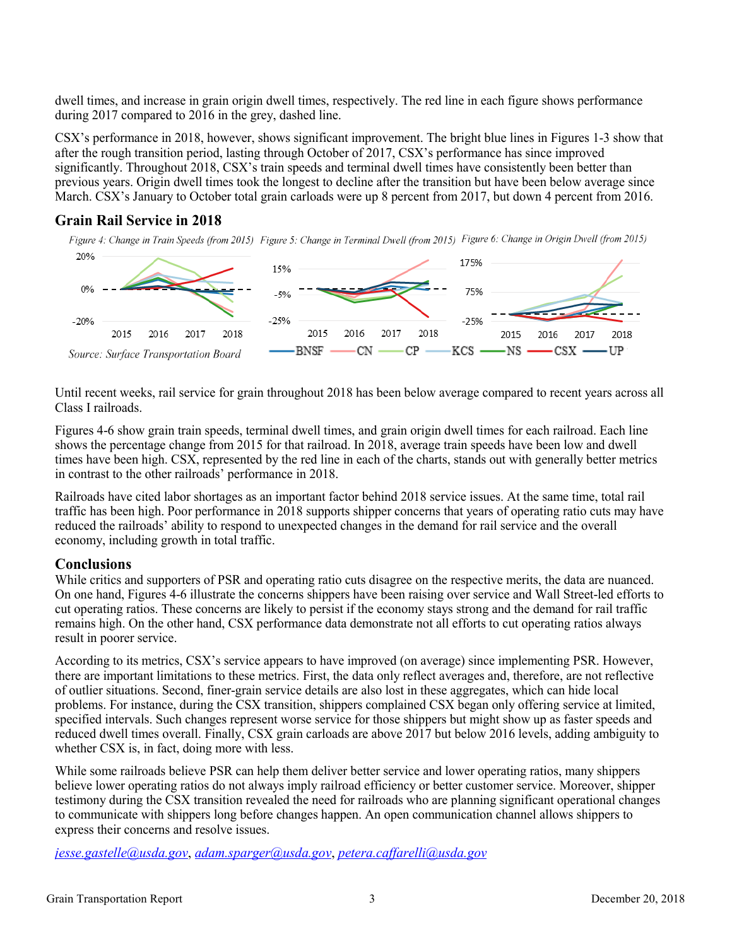dwell times, and increase in grain origin dwell times, respectively. The red line in each figure shows performance during 2017 compared to 2016 in the grey, dashed line.

CSX's performance in 2018, however, shows significant improvement. The bright blue lines in Figures 1-3 show that after the rough transition period, lasting through October of 2017, CSX's performance has since improved significantly. Throughout 2018, CSX's train speeds and terminal dwell times have consistently been better than previous years. Origin dwell times took the longest to decline after the transition but have been below average since March. CSX's January to October total grain carloads were up 8 percent from 2017, but down 4 percent from 2016.

#### **Grain Rail Service in 2018**

Figure 4: Change in Train Speeds (from 2015) Figure 5: Change in Terminal Dwell (from 2015) Figure 6: Change in Origin Dwell (from 2015)



Until recent weeks, rail service for grain throughout 2018 has been below average compared to recent years across all Class I railroads.

Figures 4-6 show grain train speeds, terminal dwell times, and grain origin dwell times for each railroad. Each line shows the percentage change from 2015 for that railroad. In 2018, average train speeds have been low and dwell times have been high. CSX, represented by the red line in each of the charts, stands out with generally better metrics in contrast to the other railroads' performance in 2018.

Railroads have cited labor shortages as an important factor behind 2018 service issues. At the same time, total rail traffic has been high. Poor performance in 2018 supports shipper concerns that years of operating ratio cuts may have reduced the railroads' ability to respond to unexpected changes in the demand for rail service and the overall economy, including growth in total traffic.

#### **Conclusions**

While critics and supporters of PSR and operating ratio cuts disagree on the respective merits, the data are nuanced. On one hand, Figures 4-6 illustrate the concerns shippers have been raising over service and Wall Street-led efforts to cut operating ratios. These concerns are likely to persist if the economy stays strong and the demand for rail traffic remains high. On the other hand, CSX performance data demonstrate not all efforts to cut operating ratios always result in poorer service.

According to its metrics, CSX's service appears to have improved (on average) since implementing PSR. However, there are important limitations to these metrics. First, the data only reflect averages and, therefore, are not reflective of outlier situations. Second, finer-grain service details are also lost in these aggregates, which can hide local problems. For instance, during the CSX transition, shippers complained CSX began only offering service at limited, specified intervals. Such changes represent worse service for those shippers but might show up as faster speeds and reduced dwell times overall. Finally, CSX grain carloads are above 2017 but below 2016 levels, adding ambiguity to whether CSX is, in fact, doing more with less.

While some railroads believe PSR can help them deliver better service and lower operating ratios, many shippers believe lower operating ratios do not always imply railroad efficiency or better customer service. Moreover, shipper testimony during the CSX transition revealed the need for railroads who are planning significant operational changes to communicate with shippers long before changes happen. An open communication channel allows shippers to express their concerns and resolve issues.

*jesse.gastelle@usda.gov*, *adam.sparger@usda.gov*, *petera.caffarelli@usda.gov*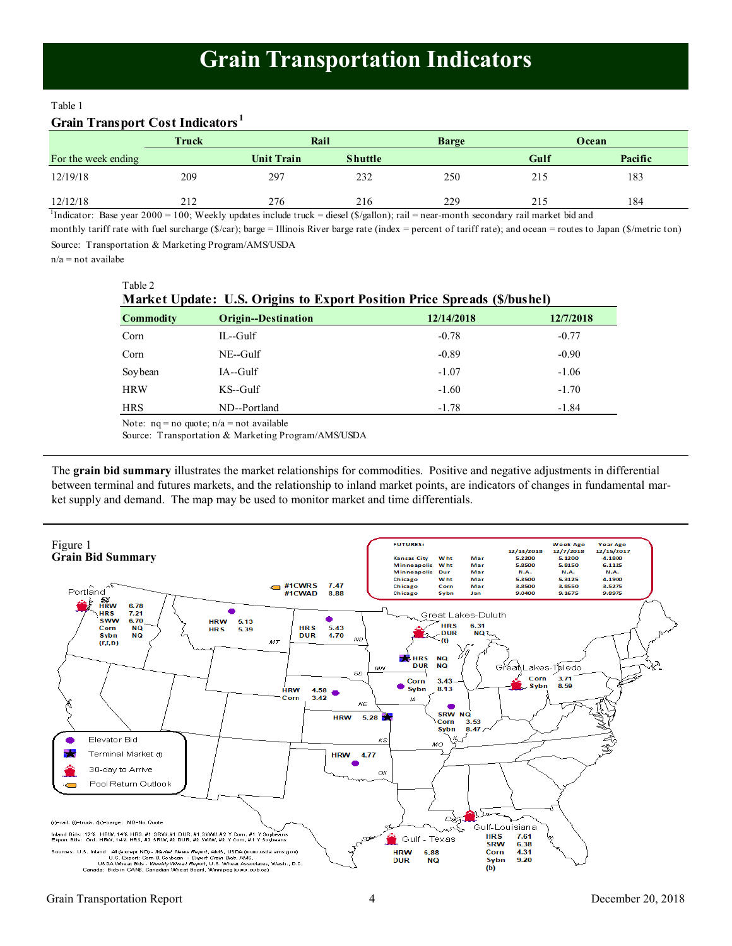#### <span id="page-3-0"></span>Table 1

#### **Grain Transport Cost Indicators <sup>1</sup>**

|                     | <b>Truck</b> | Rail              |                | <b>Barge</b> |      | Ocean   |
|---------------------|--------------|-------------------|----------------|--------------|------|---------|
| For the week ending |              | <b>Unit Train</b> | <b>Shuttle</b> |              | Gulf | Pacific |
| 12/19/18            | 209          | 297               | 232            | 250          | 215  | 183     |
| 12/12/18            | 212          | 276               | 216            | 229          | 215  | 184     |

<sup>1</sup>Indicator: Base year 2000 = 100; Weekly updates include truck = diesel (\$/gallon); rail = near-month secondary rail market bid and

Source: Transportation & Marketing Program/AMS/USDA monthly tariff rate with fuel surcharge (\$/car); barge = Illinois River barge rate (index = percent of tariff rate); and ocean = routes to Japan (\$/metric ton)

 $n/a$  = not availabe

| ۰. |  |  |
|----|--|--|
|    |  |  |

| Market Update: U.S. Origins to Export Position Price Spreads (\$/bushel)                                                                                                                                                         |                     |            |           |  |  |  |  |  |  |
|----------------------------------------------------------------------------------------------------------------------------------------------------------------------------------------------------------------------------------|---------------------|------------|-----------|--|--|--|--|--|--|
| <b>Commodity</b>                                                                                                                                                                                                                 | Origin--Destination | 12/14/2018 | 12/7/2018 |  |  |  |  |  |  |
| Corn                                                                                                                                                                                                                             | $IL$ -Gulf          | $-0.78$    | $-0.77$   |  |  |  |  |  |  |
| Corn                                                                                                                                                                                                                             | $NE-Gulf$           | $-0.89$    | $-0.90$   |  |  |  |  |  |  |
| Soybean                                                                                                                                                                                                                          | $IA$ --Gulf         | $-1.07$    | $-1.06$   |  |  |  |  |  |  |
| <b>HRW</b>                                                                                                                                                                                                                       | $KS$ -Gulf          | $-1.60$    | $-1.70$   |  |  |  |  |  |  |
| <b>HRS</b>                                                                                                                                                                                                                       | ND--Portland        | $-1.78$    | $-1.84$   |  |  |  |  |  |  |
| $\mathbf{M}$ , and the set of the set of the set of the set of the set of the set of the set of the set of the set of the set of the set of the set of the set of the set of the set of the set of the set of the set of the set |                     |            |           |  |  |  |  |  |  |

Note:  $na = no$  quote:  $n/a = not$  available

Source: Transportation & Marketing Program/AMS/USDA

The **grain bid summary** illustrates the market relationships for commodities. Positive and negative adjustments in differential between terminal and futures markets, and the relationship to inland market points, are indicators of changes in fundamental market supply and demand. The map may be used to monitor market and time differentials.

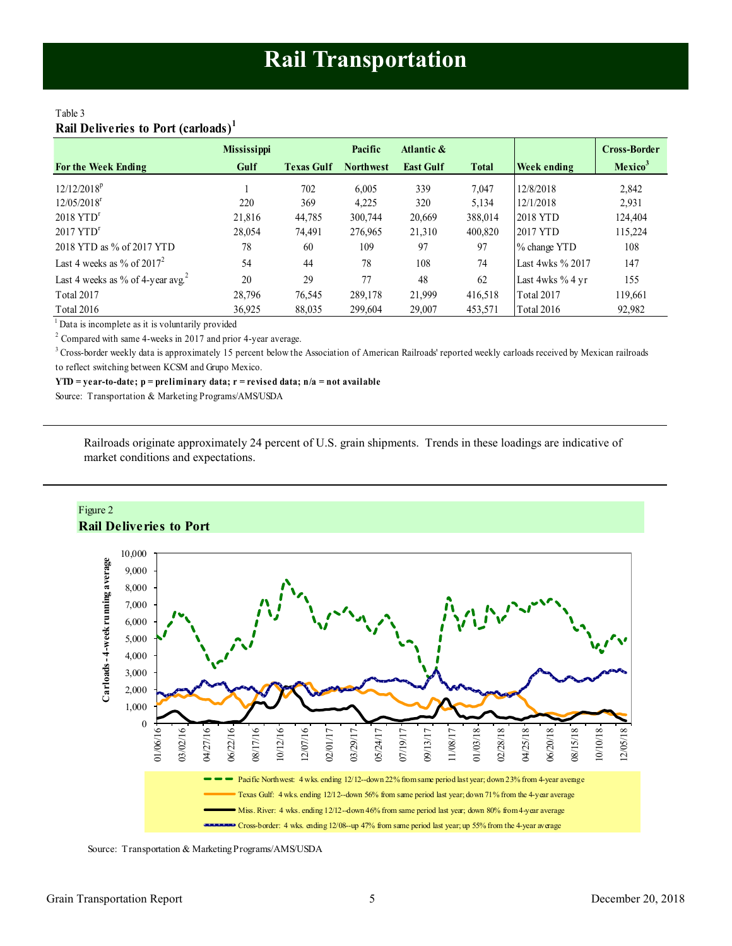#### <span id="page-4-0"></span>Table 3 **Rail Deliveries to Port (carloads)<sup>1</sup>**

|                                               | <b>Mississippi</b> |                   | Pacific          | Atlantic &       |              |                  | <b>Cross-Border</b> |
|-----------------------------------------------|--------------------|-------------------|------------------|------------------|--------------|------------------|---------------------|
| <b>For the Week Ending</b>                    | Gulf               | <b>Texas Gulf</b> | <b>Northwest</b> | <b>East Gulf</b> | <b>Total</b> | Week ending      | Mexico <sup>3</sup> |
| $12/12/2018^p$                                |                    | 702               | 6.005            | 339              | 7.047        | 12/8/2018        | 2,842               |
| $12/05/2018$ <sup>r</sup>                     | 220                | 369               | 4,225            | 320              | 5,134        | 12/1/2018        | 2,931               |
| $2018$ YTD <sup>r</sup>                       | 21.816             | 44,785            | 300,744          | 20,669           | 388,014      | 2018 YTD         | 124.404             |
| $2017$ YTD <sup>r</sup>                       | 28,054             | 74.491            | 276,965          | 21,310           | 400,820      | 2017 YTD         | 115.224             |
| 2018 YTD as % of 2017 YTD                     | 78                 | 60                | 109              | 97               | 97           | % change YTD     | 108                 |
| Last 4 weeks as % of $2017^2$                 | 54                 | 44                | 78               | 108              | 74           | Last 4wks % 2017 | 147                 |
| Last 4 weeks as % of 4-year avg. <sup>2</sup> | 20                 | 29                | 77               | 48               | 62           | Last 4wks % 4 yr | 155                 |
| Total 2017                                    | 28,796             | 76,545            | 289,178          | 21,999           | 416,518      | Total 2017       | 119,661             |
| Total 2016                                    | 36,925             | 88,035            | 299,604          | 29,007           | 453,571      | Total 2016       | 92,982              |

<sup>1</sup> Data is incomplete as it is voluntarily provided

 $2$  Compared with same 4-weeks in 2017 and prior 4-year average.

<sup>3</sup> Cross-border weekly data is approximately 15 percent below the Association of American Railroads' reported weekly carloads received by Mexican railroads to reflect switching between KCSM and Grupo Mexico.

**YTD = year-to-date; p = preliminary data; r = revised data; n/a = not available**

Source: Transportation & Marketing Programs/AMS/USDA

Railroads originate approximately 24 percent of U.S. grain shipments. Trends in these loadings are indicative of market conditions and expectations.



Source: Transportation & Marketing Programs/AMS/USDA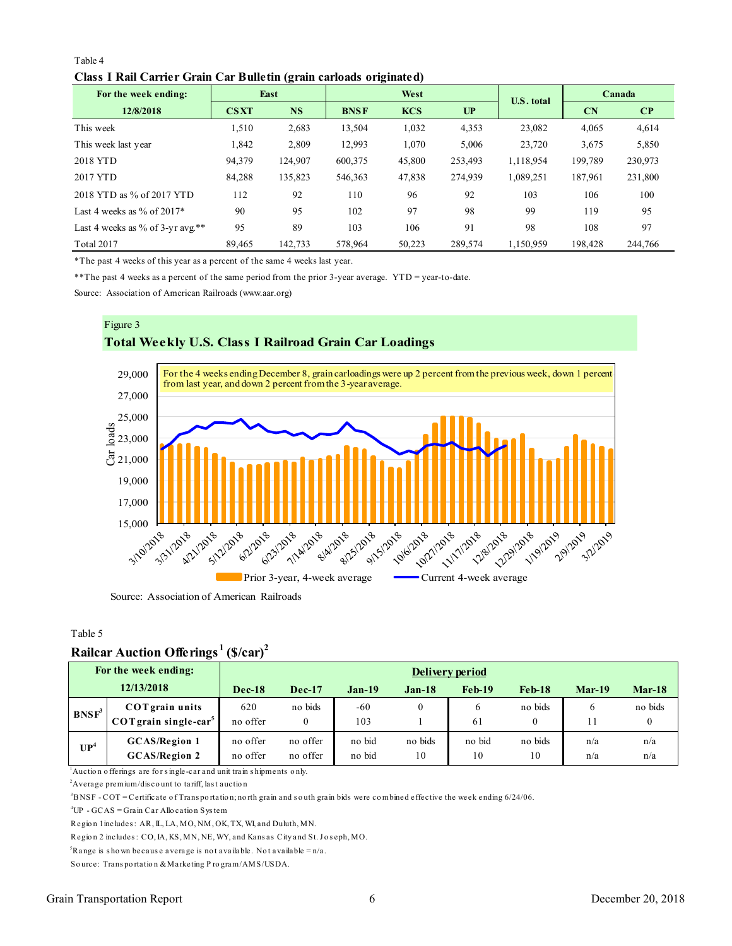#### Table 4 **Class I Rail Carrier Grain Car Bulletin (grain carloads originated)**

<span id="page-5-0"></span>

| Table 4                                                             |             |           |             |            |         |                   |         |          |  |  |
|---------------------------------------------------------------------|-------------|-----------|-------------|------------|---------|-------------------|---------|----------|--|--|
| Class I Rail Carrier Grain Car Bulletin (grain carloads originated) |             |           |             |            |         |                   |         |          |  |  |
| For the week ending:                                                |             | East      |             | West       |         |                   | Canada  |          |  |  |
| 12/8/2018                                                           | <b>CSXT</b> | <b>NS</b> | <b>BNSF</b> | <b>KCS</b> | UP      | <b>U.S. total</b> | CN      | $\bf CP$ |  |  |
| This week                                                           | 1,510       | 2,683     | 13,504      | 1,032      | 4,353   | 23,082            | 4,065   | 4,614    |  |  |
| This week last year                                                 | 1,842       | 2,809     | 12,993      | 1,070      | 5,006   | 23,720            | 3,675   | 5,850    |  |  |
| 2018 YTD                                                            | 94,379      | 124,907   | 600,375     | 45,800     | 253,493 | 1,118,954         | 199,789 | 230,973  |  |  |
| 2017 YTD                                                            | 84,288      | 135,823   | 546,363     | 47,838     | 274,939 | 1,089,251         | 187,961 | 231,800  |  |  |
| 2018 YTD as % of 2017 YTD                                           | 112         | 92        | 110         | 96         | 92      | 103               | 106     | 100      |  |  |
| Last 4 weeks as % of $2017*$                                        | 90          | 95        | 102         | 97         | 98      | 99                | 119     | 95       |  |  |
| Last 4 weeks as % of 3-yr avg.**                                    | 95          | 89        | 103         | 106        | 91      | 98                | 108     | 97       |  |  |
| Total 2017                                                          | 89,465      | 142,733   | 578,964     | 50,223     | 289,574 | 1,150,959         | 198,428 | 244,766  |  |  |

\*The past 4 weeks of this year as a percent of the same 4 weeks last year.

\*\*The past 4 weeks as a percent of the same period from the prior 3-year average. YTD = year-to-date.

Source: Association of American Railroads (www.aar.org)



Table 5

#### **Railcar Auction Offerings <sup>1</sup>(\$/car)<sup>2</sup>**

|                 | Rançal Auçubil Onclings                                                                                                                                                                                                                                                            | 19/CaI               |                      |                  |               |              |               |            |            |  |  |
|-----------------|------------------------------------------------------------------------------------------------------------------------------------------------------------------------------------------------------------------------------------------------------------------------------------|----------------------|----------------------|------------------|---------------|--------------|---------------|------------|------------|--|--|
|                 | For the week ending:                                                                                                                                                                                                                                                               | Delivery period      |                      |                  |               |              |               |            |            |  |  |
|                 | 12/13/2018                                                                                                                                                                                                                                                                         | $Dec-18$             | $Dec-17$             | $Jan-19$         | $Jan-18$      | $Feb-19$     | $Feb-18$      | $Mar-19$   | $Mar-18$   |  |  |
| $BNSF^3$        | <b>COT</b> grain units<br>$COT$ grain single-car <sup>5</sup>                                                                                                                                                                                                                      | 620<br>no offer      | no bids<br>$\theta$  | $-60$<br>103     | $\theta$      | 6<br>61      | no bids<br>0  | 6<br>11    | no bids    |  |  |
| UP <sup>4</sup> | <b>GCAS/Region 1</b><br><b>GCAS/Region 2</b>                                                                                                                                                                                                                                       | no offer<br>no offer | no offer<br>no offer | no bid<br>no bid | no bids<br>10 | no bid<br>10 | no bids<br>10 | n/a<br>n/a | n/a<br>n/a |  |  |
|                 | $\lambda$ Auction offerings are for single-car and unit train shipments only.<br><sup>2</sup> Average premium/discount to tariff, last auction<br>$3BNSF - COT =$ Certificate of Transportation; north grain and south grain bids were combined effective the week ending 6/24/06. |                      |                      |                  |               |              |               |            |            |  |  |
|                 | <sup>4</sup> $\text{ID}$ $\text{GCAS} = \text{Cmin} \text{Cov}$ Allocation System                                                                                                                                                                                                  |                      |                      |                  |               |              |               |            |            |  |  |

<sup>2</sup> Average premium/discount to tariff, last auction<br><sup>3</sup> BNSF - COT = Certificate of Transportation; north grain and south<br><sup>4</sup> UP - GCAS = Grain Car Allocation System<br>Region 1 includes: AR, IL, LA, MO, NM, OK, TX, WI, and Average premium/discount to tariff, last auction<br><sup>3</sup>BNSF - COT = Certificate of Transportation; north grain and south<br><sup>4</sup>UP - GCAS = Grain Car Allocation System<br>Region 1 includes : AR, IL, LA, MO, NM, OK, TX, WI, and Dulut

<sup>3</sup>BNSF - COT = Certificate of Transportation; north grain and south grain bids wer<br><sup>4</sup>UP - GCAS = Grain Car Allocation System<br>Region 1 includes : AR, IL, LA, MO, NM, OK, TX, WI, and Duluth, MN.<br>Region 2 includes : CO, IA, Region 1 includes: AR, IL, LA, MO, NM, OK, TX, WI, and Dulut<br>Region 2 includes: CO, IA, KS, MN, NE, WY, and Kansas City<br><sup>5</sup>Range is shown because average is not available. Not avail<br>Source: Transportation & Marketing Progr

<sup>4</sup>UP - GCAS = Grain Car Allocation System<br>Region 1 includes : AR, IL, LA, MO, NM, OK, TX, WI, and Duluth, MN.<br>Region 2 includes : CO, IA, KS, MN, NE, WY, and Kansas City and St. Jo<br><sup>5</sup>Range is shown because average is not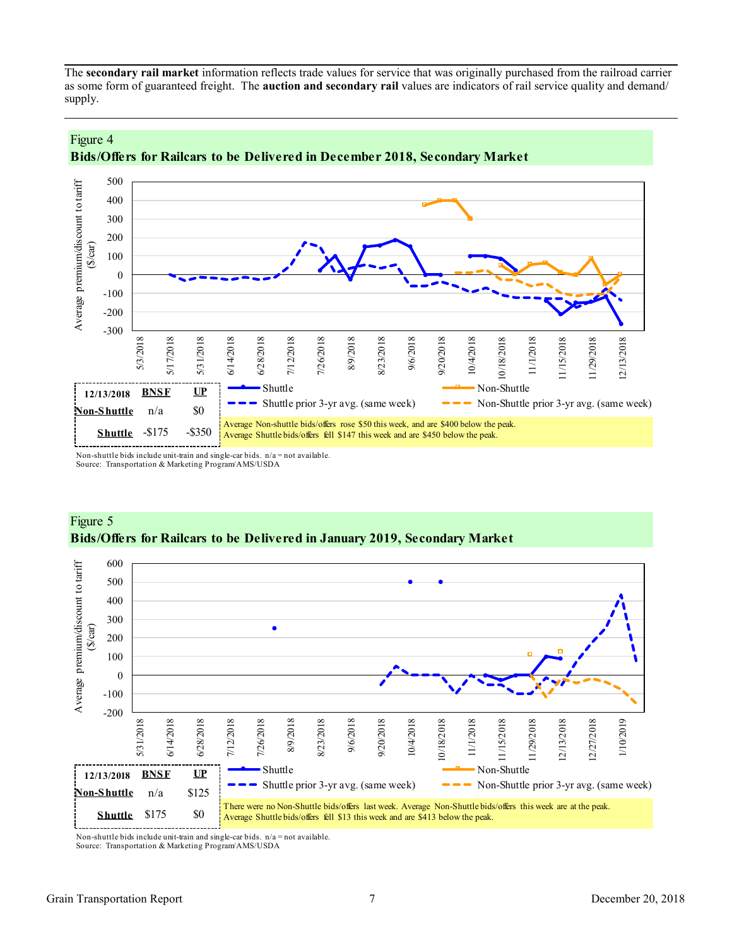<span id="page-6-0"></span>The **secondary rail market** information reflects trade values for service that was originally purchased from the railroad carrier as some form of guaranteed freight. The **auction and secondary rail** values are indicators of rail service quality and demand/ supply.





Non-shuttle bids include unit-train and single-car bids.  $n/a = not available$ . Source: Transportation & Marketing Program/AMS/USDA

Figure 4



#### Figure 5 **Bids/Offers for Railcars to be Delivered in January 2019, Secondary Market**

Non-shuttle bids include unit-train and single-car bids. n/a = not available. Source: Transportation & Marketing Program/AMS/USDA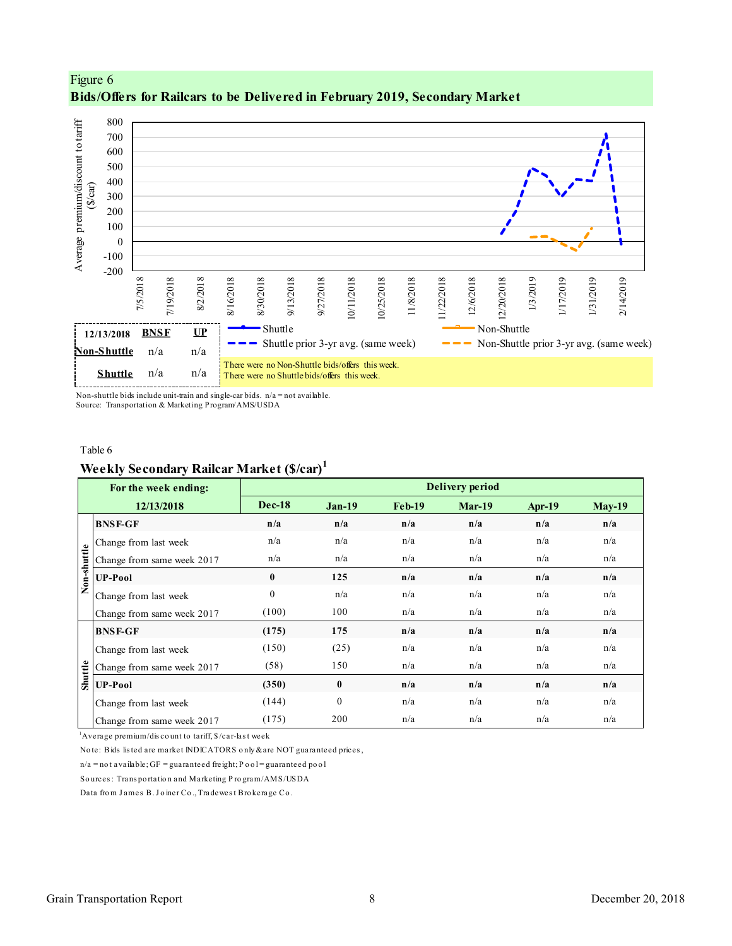



Non-shuttle bids include unit-train and single-car bids.  $n/a = not available$ . Source: Transportation & Marketing Program/AMS/USDA

#### Table 6

#### **Weekly Secondary Railcar Market (\$/car)<sup>1</sup>**

|             | For the week ending:                                                        |               |          |        | Delivery period |        |               |
|-------------|-----------------------------------------------------------------------------|---------------|----------|--------|-----------------|--------|---------------|
|             | 12/13/2018                                                                  | <b>Dec-18</b> | $Jan-19$ | Feb-19 | $Mar-19$        | Apr-19 | <b>May-19</b> |
|             | <b>BNSF-GF</b>                                                              | n/a           | n/a      | n/a    | n/a             | n/a    | n/a           |
|             | Change from last week                                                       | n/a           | n/a      | n/a    | n/a             | n/a    | n/a           |
| Non-shuttle | Change from same week 2017                                                  | n/a           | n/a      | n/a    | n/a             | n/a    | n/a           |
|             | <b>UP-Pool</b>                                                              | $\mathbf{0}$  | 125      | n/a    | n/a             | n/a    | n/a           |
|             | Change from last week                                                       | $\Omega$      | n/a      | n/a    | n/a             | n/a    | n/a           |
|             | Change from same week 2017                                                  | (100)         | 100      | n/a    | n/a             | n/a    | n/a           |
|             | <b>BNSF-GF</b>                                                              | (175)         | 175      | n/a    | n/a             | n/a    | n/a           |
|             | Change from last week                                                       | (150)         | (25)     | n/a    | n/a             | n/a    | n/a           |
|             | Change from same week 2017                                                  | (58)          | 150      | n/a    | n/a             | n/a    | n/a           |
| Shuttle     | <b>UP-Pool</b>                                                              | (350)         | $\bf{0}$ | n/a    | n/a             | n/a    | n/a           |
|             | Change from last week                                                       | (144)         | $\theta$ | n/a    | n/a             | n/a    | n/a           |
|             | Change from same week 2017                                                  | (175)         | 200      | n/a    | n/a             | n/a    | n/a           |
|             | <sup>1</sup> Average premium/discount to tariff, \$/car-last week           |               |          |        |                 |        |               |
|             | Note: Bids listed are market INDICATORS only & are NOT guaranteed prices,   |               |          |        |                 |        |               |
|             | $n/a$ = not available; GF = guaranteed freight; P o o l = guaranteed po o l |               |          |        |                 |        |               |
|             | Sources: Transportation and Marketing Program/AMS/USDA                      |               |          |        |                 |        |               |
|             | Data from James B. Joiner Co., Tradewest Brokerage Co.                      |               |          |        |                 |        |               |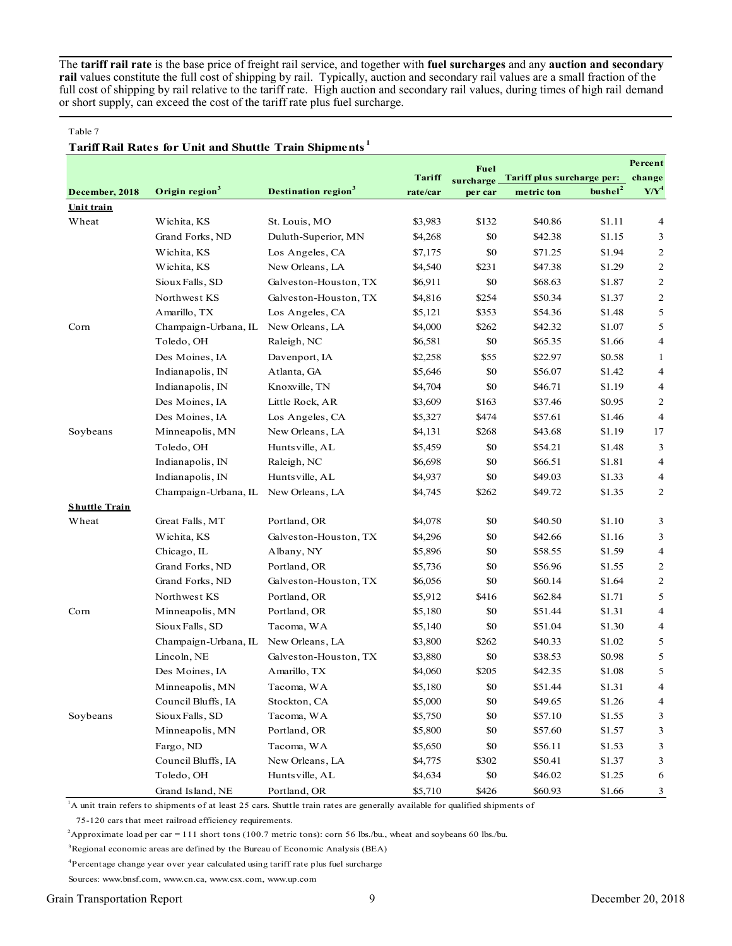The **tariff rail rate** is the base price of freight rail service, and together with **fuel surcharges** and any **auction and secondary rail** values constitute the full cost of shipping by rail. Typically, auction and secondary rail values are a small fraction of the full cost of shipping by rail relative to the tariff rate. High auction and secondary rail values, during times of high rail demand or short supply, can exceed the cost of the tariff rate plus fuel surcharge.

#### Table 7

#### **Tariff Rail Rates for Unit and Shuttle Train Shipments <sup>1</sup>**

|                      |                            |                                        |          | Fuel      |                            |                     | Percent        |
|----------------------|----------------------------|----------------------------------------|----------|-----------|----------------------------|---------------------|----------------|
|                      |                            |                                        | Tariff   | surcharge | Tariff plus surcharge per: |                     | change         |
| December, 2018       | Origin region <sup>3</sup> | <b>Destination region</b> <sup>3</sup> | rate/car | per car   | metric ton                 | bushel <sup>2</sup> | $Y/Y^4$        |
| Unit train           |                            |                                        |          |           |                            |                     |                |
| Wheat                | Wichita, KS                | St. Louis, MO                          | \$3,983  | \$132     | \$40.86                    | \$1.11              | 4              |
|                      | Grand Forks, ND            | Duluth-Superior, MN                    | \$4,268  | \$0       | \$42.38                    | \$1.15              | 3              |
|                      | Wichita, KS                | Los Angeles, CA                        | \$7,175  | \$0       | \$71.25                    | \$1.94              | 2              |
|                      | Wichita, KS                | New Orleans, LA                        | \$4,540  | \$231     | \$47.38                    | \$1.29              | $\overline{c}$ |
|                      | Sioux Falls, SD            | Galveston-Houston, TX                  | \$6,911  | \$0       | \$68.63                    | \$1.87              | $\overline{c}$ |
|                      | Northwest KS               | Galveston-Houston, TX                  | \$4,816  | \$254     | \$50.34                    | \$1.37              | $\overline{c}$ |
|                      | Amarillo, TX               | Los Angeles, CA                        | \$5,121  | \$353     | \$54.36                    | \$1.48              | 5              |
| Corn                 | Champaign-Urbana, IL       | New Orleans, LA                        | \$4,000  | \$262     | \$42.32                    | \$1.07              | 5              |
|                      | Toledo, OH                 | Raleigh, NC                            | \$6,581  | \$0       | \$65.35                    | \$1.66              | 4              |
|                      | Des Moines, IA             | Davenport, IA                          | \$2,258  | \$55      | \$22.97                    | \$0.58              | $\mathbf{1}$   |
|                      | Indianapolis, IN           | Atlanta, GA                            | \$5,646  | \$0       | \$56.07                    | \$1.42              | 4              |
|                      | Indianapolis, IN           | Knoxville, TN                          | \$4,704  | \$0       | \$46.71                    | \$1.19              | 4              |
|                      | Des Moines, IA             | Little Rock, AR                        | \$3,609  | \$163     | \$37.46                    | \$0.95              | 2              |
|                      | Des Moines, IA             | Los Angeles, CA                        | \$5,327  | \$474     | \$57.61                    | \$1.46              | $\overline{4}$ |
| Soybeans             | Minneapolis, MN            | New Orleans, LA                        | \$4,131  | \$268     | \$43.68                    | \$1.19              | 17             |
|                      | Toledo, OH                 | Huntsville, AL                         | \$5,459  | \$0       | \$54.21                    | \$1.48              | 3              |
|                      | Indianapolis, IN           | Raleigh, NC                            | \$6,698  | \$0       | \$66.51                    | \$1.81              | $\overline{4}$ |
|                      | Indianapolis, IN           | Huntsville, AL                         | \$4,937  | \$0       | \$49.03                    | \$1.33              | $\overline{4}$ |
|                      | Champaign-Urbana, IL       | New Orleans, LA                        | \$4,745  | \$262     | \$49.72                    | \$1.35              | 2              |
| <b>Shuttle Train</b> |                            |                                        |          |           |                            |                     |                |
| Wheat                | Great Falls, MT            | Portland, OR                           | \$4,078  | \$0       | \$40.50                    | \$1.10              | 3              |
|                      | Wichita, KS                | Galveston-Houston, TX                  | \$4,296  | \$0       | \$42.66                    | \$1.16              | 3              |
|                      | Chicago, IL                | Albany, NY                             | \$5,896  | \$0       | \$58.55                    | \$1.59              | 4              |
|                      | Grand Forks, ND            | Portland, OR                           | \$5,736  | \$0       | \$56.96                    | \$1.55              | $\overline{c}$ |
|                      | Grand Forks, ND            | Galveston-Houston, TX                  | \$6,056  | \$0       | \$60.14                    | \$1.64              | $\overline{c}$ |
|                      | Northwest KS               | Portland, OR                           | \$5,912  | \$416     | \$62.84                    | \$1.71              | 5              |
| Corn                 | Minneapolis, MN            | Portland, OR                           | \$5,180  | \$0       | \$51.44                    | \$1.31              | 4              |
|                      | Sioux Falls, SD            | Tacoma, WA                             | \$5,140  | \$0       | \$51.04                    | \$1.30              | 4              |
|                      | Champaign-Urbana, IL       | New Orleans, LA                        | \$3,800  | \$262     | \$40.33                    | \$1.02              | 5              |
|                      | Lincoln, NE                | Galveston-Houston, TX                  | \$3,880  | \$0       | \$38.53                    | \$0.98              | 5              |
|                      | Des Moines, IA             | Amarillo, TX                           | \$4,060  | \$205     | \$42.35                    | \$1.08              | 5              |
|                      | Minneapolis, MN            | Tacoma, WA                             | \$5,180  | \$0       | \$51.44                    | \$1.31              | 4              |
|                      | Council Bluffs, IA         | Stockton, CA                           | \$5,000  | \$0       | \$49.65                    | \$1.26              | 4              |
| Soybeans             | Sioux Falls, SD            | Tacoma, WA                             | \$5,750  | \$0       | \$57.10                    | \$1.55              | 3              |
|                      | Minneapolis, MN            | Portland, OR                           | \$5,800  | \$0       | \$57.60                    | \$1.57              | 3              |
|                      | Fargo, ND                  | Tacoma, WA                             | \$5,650  | \$0       | \$56.11                    | \$1.53              | 3              |
|                      | Council Bluffs, IA         | New Orleans, LA                        | \$4,775  | \$302     | \$50.41                    | \$1.37              | 3              |
|                      | Toledo, OH                 | Huntsville, AL                         | \$4,634  | \$0       | \$46.02                    | \$1.25              | 6              |
|                      | Grand Island, NE           | Portland, OR                           | \$5,710  | \$426     | \$60.93                    | \$1.66              | 3              |

<sup>1</sup>A unit train refers to shipments of at least 25 cars. Shuttle train rates are generally available for qualified shipments of

75-120 cars that meet railroad efficiency requirements.

<sup>2</sup>Approximate load per car = 111 short tons (100.7 metric tons): corn 56 lbs./bu., wheat and soybeans 60 lbs./bu.

<sup>3</sup>Regional economic areas are defined by the Bureau of Economic Analysis (BEA)

<sup>4</sup>Percentage change year over year calculated using tariff rate plus fuel surcharge

Sources: www.bnsf.com, www.cn.ca, www.csx.com, www.up.com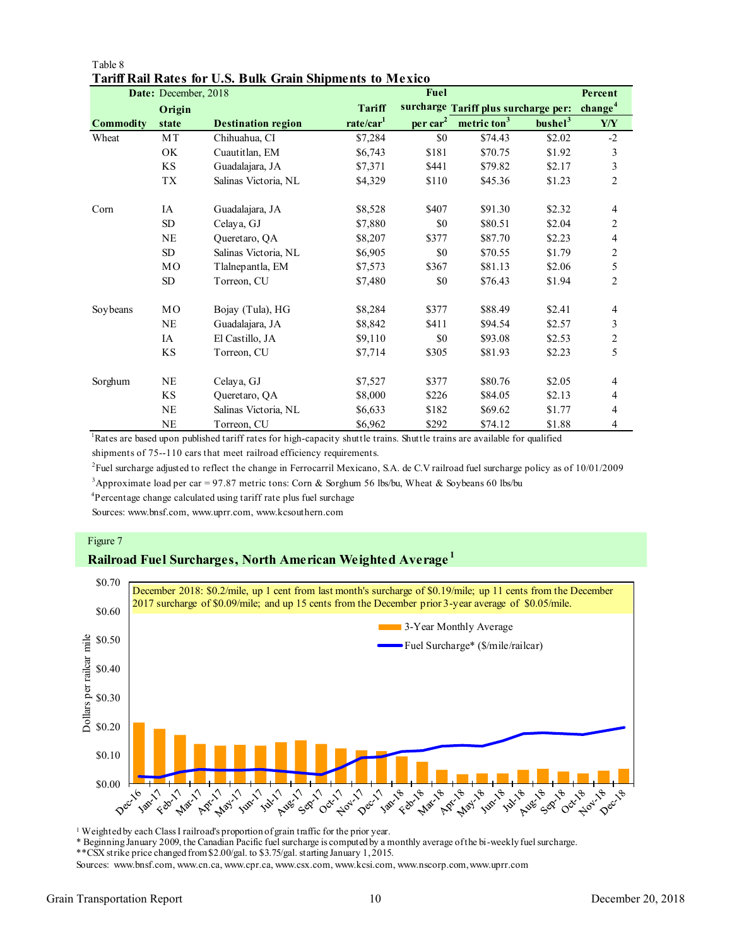|                  | Date: December, 2018 |                           |                       | Fuel           |                                      |                     | Percent             |
|------------------|----------------------|---------------------------|-----------------------|----------------|--------------------------------------|---------------------|---------------------|
|                  | Origin               |                           | <b>Tariff</b>         |                | surcharge Tariff plus surcharge per: |                     | change <sup>4</sup> |
| <b>Commodity</b> | state                | <b>Destination region</b> | rate/car <sup>1</sup> | $per \, car^2$ | metric ton <sup>3</sup>              | bushel <sup>3</sup> | ${\bf Y}/{\bf Y}$   |
| Wheat            | MT                   | Chihuahua, CI             | \$7,284               | \$0            | \$74.43                              | \$2.02              | $-2$                |
|                  | OK                   | Cuautitlan, EM            | \$6,743               | \$181          | \$70.75                              | \$1.92              | 3                   |
|                  | KS                   | Guadalajara, JA           | \$7,371               | \$441          | \$79.82                              | \$2.17              | 3                   |
|                  | TX                   | Salinas Victoria, NL      | \$4,329               | \$110          | \$45.36                              | \$1.23              | $\overline{2}$      |
| Corn             | <b>IA</b>            | Guadalajara, JA           | \$8,528               | \$407          | \$91.30                              | \$2.32              | 4                   |
|                  | SD                   | Celaya, GJ                | \$7,880               | \$0            | \$80.51                              | \$2.04              | 2                   |
|                  | <b>NE</b>            | Queretaro, QA             | \$8,207               | \$377          | \$87.70                              | \$2.23              | 4                   |
|                  | SD                   | Salinas Victoria, NL      | \$6,905               | \$0            | \$70.55                              | \$1.79              | $\overline{c}$      |
|                  | MO                   | Tlalnepantla, EM          | \$7,573               | \$367          | \$81.13                              | \$2.06              | 5                   |
|                  | <b>SD</b>            | Torreon, CU               | \$7,480               | \$0            | \$76.43                              | \$1.94              | $\overline{c}$      |
| Soybeans         | MO                   | Bojay (Tula), HG          | \$8,284               | \$377          | \$88.49                              | \$2.41              | 4                   |
|                  | NE                   | Guadalajara, JA           | \$8,842               | \$411          | \$94.54                              | \$2.57              | 3                   |
|                  | IA                   | El Castillo, JA           | \$9,110               | \$0            | \$93.08                              | \$2.53              | $\overline{c}$      |
|                  | KS                   | Torreon, CU               | \$7,714               | \$305          | \$81.93                              | \$2.23              | 5                   |
| Sorghum          | <b>NE</b>            | Celaya, GJ                | \$7,527               | \$377          | \$80.76                              | \$2.05              | 4                   |
|                  | KS                   | Queretaro, QA             | \$8,000               | \$226          | \$84.05                              | \$2.13              | 4                   |
|                  | <b>NE</b>            | Salinas Victoria, NL      | \$6,633               | \$182          | \$69.62                              | \$1.77              | 4                   |
|                  | <b>NE</b>            | Torreon, CU               | \$6,962               | \$292          | \$74.12                              | \$1.88              | 4                   |

#### Table 8 **Tariff Rail Rates for U.S. Bulk Grain Shipments to Mexico**

<sup>1</sup>Rates are based upon published tariff rates for high-capacity shuttle trains. Shuttle trains are available for qualified shipments of 75--110 cars that meet railroad efficiency requirements.

2 Fuel surcharge adjusted to reflect the change in Ferrocarril Mexicano, S.A. de C.V railroad fuel surcharge policy as of 10/01/2009

<sup>3</sup>Approximate load per car = 97.87 metric tons: Corn & Sorghum 56 lbs/bu, Wheat & Soybeans 60 lbs/bu

<sup>4</sup>Percentage change calculated using tariff rate plus fuel surchage

Sources: www.bnsf.com, www.uprr.com, www.kcsouthern.com

#### Figure 7

#### **Railroad Fuel Surcharges, North American Weighted Average <sup>1</sup>**



<sup>1</sup> Weighted by each Class I railroad's proportion of grain traffic for the prior year.

\* Beginning January 2009, the Canadian Pacific fuel surcharge is computed by a monthly average of the bi-weekly fuel surcharge.

\*\*CSX strike price changed from \$2.00/gal. to \$3.75/gal. starting January 1, 2015.

Sources: www.bnsf.com, www.cn.ca, www.cpr.ca, www.csx.com, www.kcsi.com, www.nscorp.com, www.uprr.com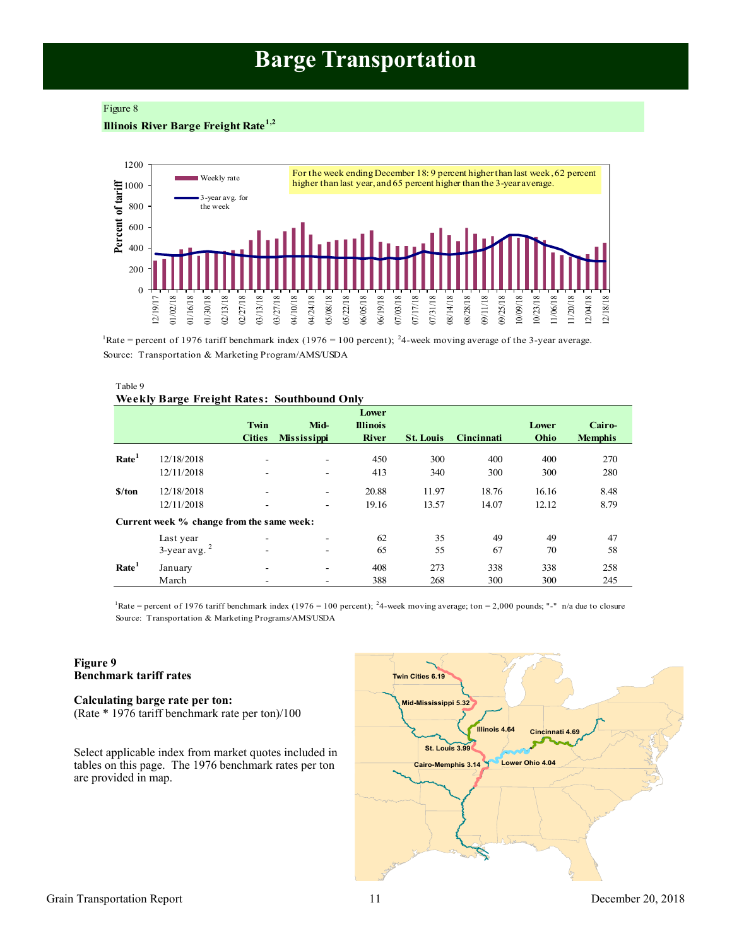## **Barge Transportation**

#### <span id="page-10-0"></span>Figure 8

#### **Illinois River Barge Freight Rate1,2**



<sup>1</sup>Rate = percent of 1976 tariff benchmark index (1976 = 100 percent); <sup>2</sup>4-week moving average of the 3-year average. Source: Transportation & Marketing Program/AMS/USDA

#### Table 9 **Weekly Barge Freight Rates: Southbound Only**

|                   |                                           | Twin<br><b>Cities</b> | Mid-<br><b>Mississippi</b> | Lower<br><b>Illinois</b><br><b>River</b> | <b>St. Louis</b> | Cincinnati | Lower<br>Ohio | Cairo-<br><b>Memphis</b> |
|-------------------|-------------------------------------------|-----------------------|----------------------------|------------------------------------------|------------------|------------|---------------|--------------------------|
|                   |                                           |                       |                            |                                          |                  |            |               |                          |
| Rate <sup>1</sup> | 12/18/2018                                |                       |                            | 450                                      | 300              | 400        | 400           | 270                      |
|                   | 12/11/2018                                |                       |                            | 413                                      | 340              | 300        | 300           | 280                      |
| S/ton             | 12/18/2018                                |                       |                            | 20.88                                    | 11.97            | 18.76      | 16.16         | 8.48                     |
|                   | 12/11/2018                                |                       | $\overline{\phantom{a}}$   | 19.16                                    | 13.57            | 14.07      | 12.12         | 8.79                     |
|                   | Current week % change from the same week: |                       |                            |                                          |                  |            |               |                          |
|                   | Last year                                 |                       |                            | 62                                       | 35               | 49         | 49            | 47                       |
|                   | $3$ -year avg. $2$                        |                       |                            | 65                                       | 55               | 67         | 70            | 58                       |
| Rate <sup>1</sup> | January                                   | ۰                     | $\overline{\phantom{a}}$   | 408                                      | 273              | 338        | 338           | 258                      |
|                   | March                                     |                       |                            | 388                                      | 268              | 300        | 300           | 245                      |

Source: Transportation & Marketing Programs/AMS/USDA <sup>1</sup>Rate = percent of 1976 tariff benchmark index (1976 = 100 percent); <sup>2</sup>4-week moving average; ton = 2,000 pounds; "-" n/a due to closure

#### **Figure 9 Benchmark tariff rates**

**Calculating barge rate per ton:** (Rate \* 1976 tariff benchmark rate per ton)/100

Select applicable index from market quotes included in tables on this page. The 1976 benchmark rates per ton are provided in map.

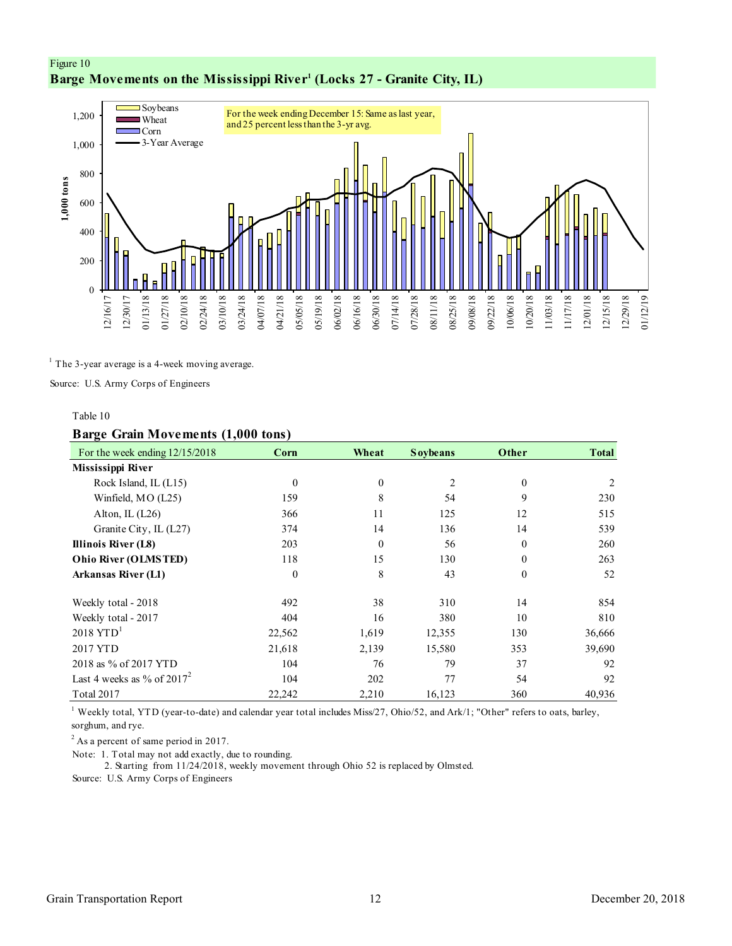#### <span id="page-11-0"></span>Figure 10 **Barge Movements on the Mississippi River<sup>1</sup> (Locks 27 - Granite City, IL)**



 $<sup>1</sup>$  The 3-year average is a 4-week moving average.</sup>

Source: U.S. Army Corps of Engineers

#### Table 10

#### **Barge Grain Movements (1,000 tons)**

| For the week ending $12/15/2018$ | Corn     | Wheat            | <b>Soybeans</b> | Other        | <b>Total</b>   |
|----------------------------------|----------|------------------|-----------------|--------------|----------------|
| Mississippi River                |          |                  |                 |              |                |
| Rock Island, IL (L15)            | $\theta$ | $\mathbf{0}$     | 2               | $\mathbf{0}$ | $\overline{c}$ |
| Winfield, MO (L25)               | 159      | 8                | 54              | 9            | 230            |
| Alton, IL $(L26)$                | 366      | 11               | 125             | 12           | 515            |
| Granite City, IL (L27)           | 374      | 14               | 136             | 14           | 539            |
| Illinois River (L8)              | 203      | $\boldsymbol{0}$ | 56              | $\mathbf{0}$ | 260            |
| Ohio River (OLMSTED)             | 118      | 15               | 130             | $\theta$     | 263            |
| <b>Arkansas River (L1)</b>       | $\theta$ | 8                | 43              | $\mathbf{0}$ | 52             |
| Weekly total - 2018              | 492      | 38               | 310             | 14           | 854            |
| Weekly total - 2017              | 404      | 16               | 380             | 10           | 810            |
| $2018$ YTD <sup>1</sup>          | 22,562   | 1,619            | 12,355          | 130          | 36,666         |
| 2017 YTD                         | 21,618   | 2,139            | 15,580          | 353          | 39,690         |
| 2018 as % of 2017 YTD            | 104      | 76               | 79              | 37           | 92             |
| Last 4 weeks as % of $2017^2$    | 104      | 202              | 77              | 54           | 92             |
| Total 2017                       | 22,242   | 2,210            | 16,123          | 360          | 40,936         |

<sup>1</sup> Weekly total, YTD (year-to-date) and calendar year total includes Miss/27, Ohio/52, and Ark/1; "Other" refers to oats, barley, sorghum, and rye.

 $2$  As a percent of same period in 2017.

Note: 1. Total may not add exactly, due to rounding.

2. Starting from 11/24/2018, weekly movement through Ohio 52 is replaced by Olmsted.

Source: U.S. Army Corps of Engineers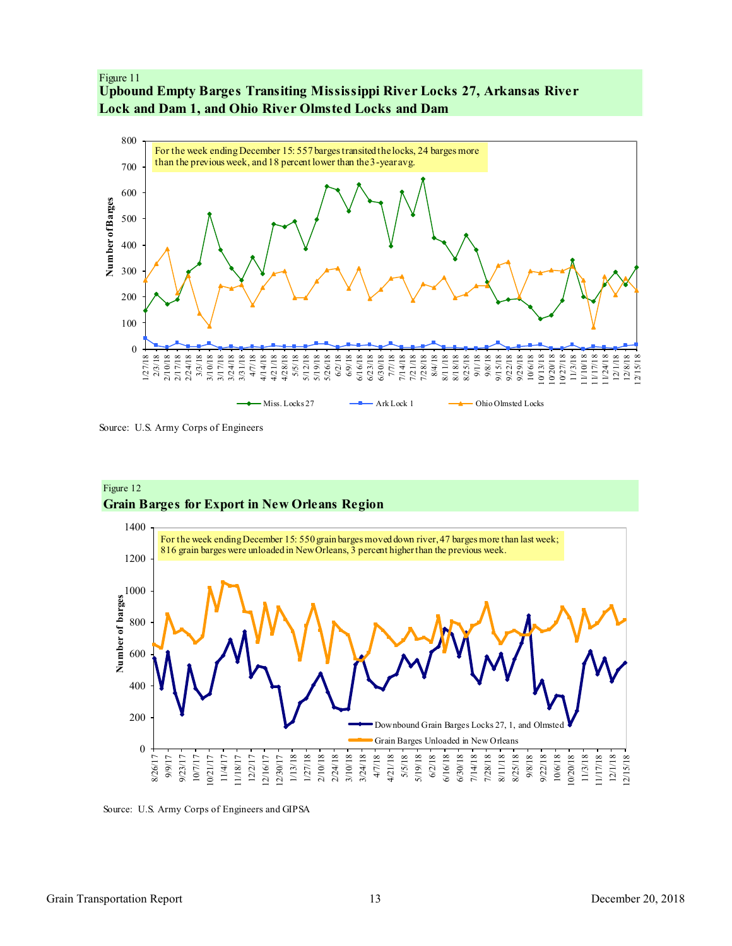#### <span id="page-12-0"></span>Figure 11 **Upbound Empty Barges Transiting Mississippi River Locks 27, Arkansas River Lock and Dam 1, and Ohio River Olmsted Locks and Dam**



Source: U.S. Army Corps of Engineers



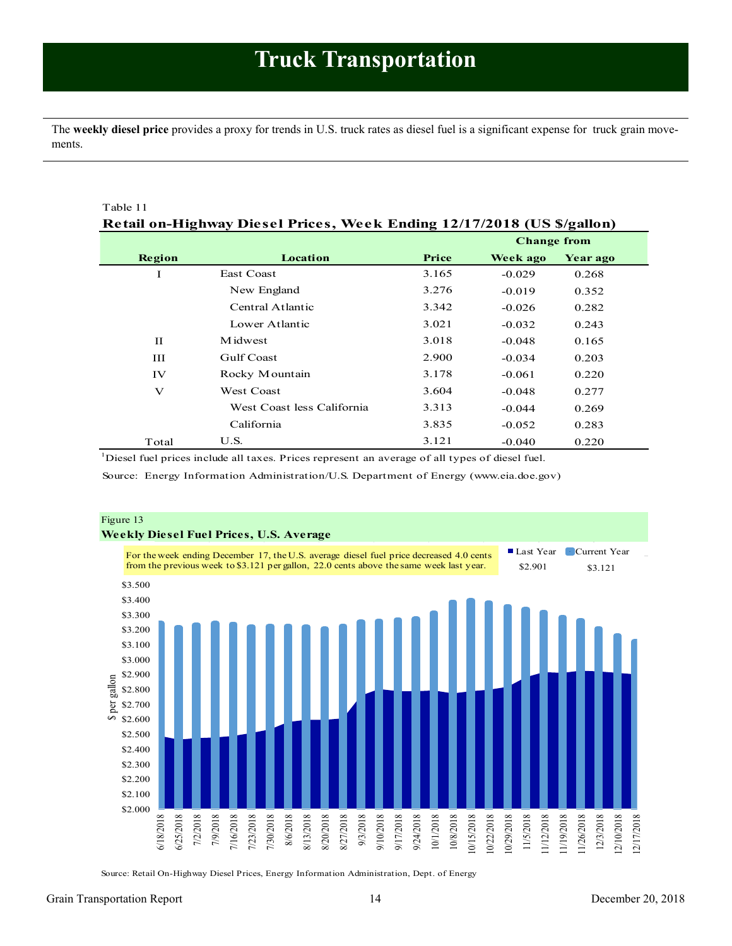<span id="page-13-0"></span>The **weekly diesel price** provides a proxy for trends in U.S. truck rates as diesel fuel is a significant expense for truck grain movements.

| Table 11                                                               |                            |       |          |          |  |  |  |  |
|------------------------------------------------------------------------|----------------------------|-------|----------|----------|--|--|--|--|
| Retail on-Highway Diesel Prices, Week Ending 12/17/2018 (US \$/gallon) |                            |       |          |          |  |  |  |  |
|                                                                        | <b>Change from</b>         |       |          |          |  |  |  |  |
| Region                                                                 | Location                   | Price | Week ago | Year ago |  |  |  |  |
| Ι                                                                      | East Coast                 | 3.165 | $-0.029$ | 0.268    |  |  |  |  |
|                                                                        | New England                | 3.276 | $-0.019$ | 0.352    |  |  |  |  |
|                                                                        | Central Atlantic           | 3.342 | $-0.026$ | 0.282    |  |  |  |  |
|                                                                        | Lower Atlantic             | 3.021 | $-0.032$ | 0.243    |  |  |  |  |
| $_{\rm II}$                                                            | Midwest                    | 3.018 | $-0.048$ | 0.165    |  |  |  |  |
| Ш                                                                      | Gulf Coast                 | 2.900 | $-0.034$ | 0.203    |  |  |  |  |
| IV                                                                     | Rocky Mountain             | 3.178 | $-0.061$ | 0.220    |  |  |  |  |
| $\mathbf{V}$                                                           | <b>West Coast</b>          | 3.604 | $-0.048$ | 0.277    |  |  |  |  |
|                                                                        | West Coast less California | 3.313 | $-0.044$ | 0.269    |  |  |  |  |
|                                                                        | California                 | 3.835 | $-0.052$ | 0.283    |  |  |  |  |
| Total                                                                  | U.S.                       | 3.121 | $-0.040$ | 0.220    |  |  |  |  |

<sup>1</sup>Diesel fuel prices include all taxes. Prices represent an average of all types of diesel fuel.

Source: Energy Information Administration/U.S. Department of Energy (www.eia.doe.gov)



Source: Retail On-Highway Diesel Prices, Energy Information Administration, Dept. of Energy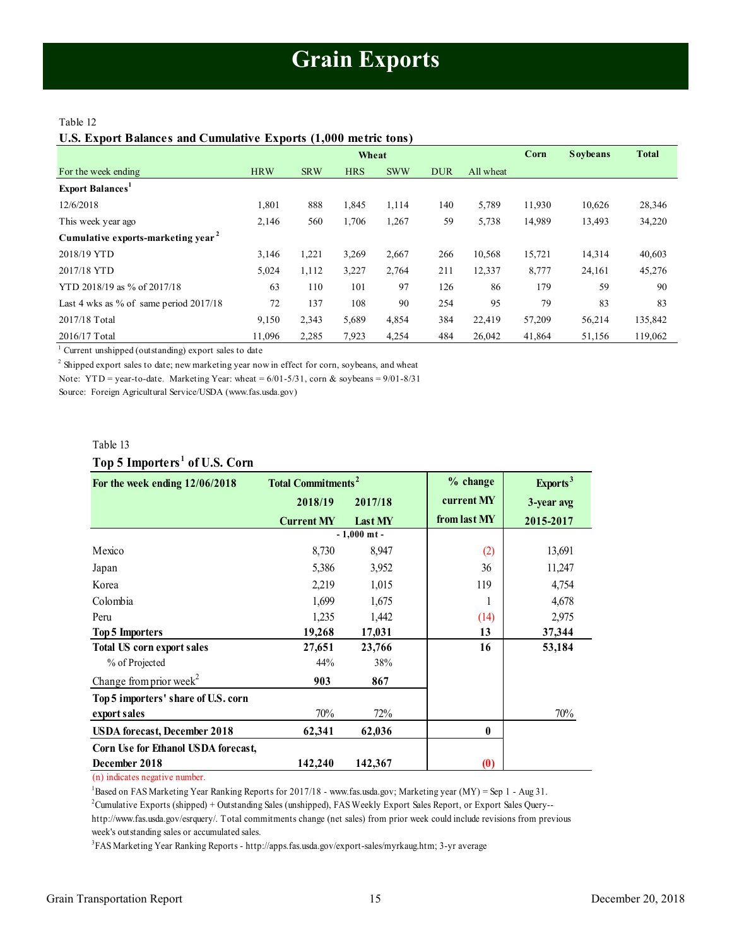#### <span id="page-14-1"></span><span id="page-14-0"></span>Table 12

**U.S. Export Balances and Cumulative Exports (1,000 metric tons)**

|                                                |            | Wheat      |            |            |            |           | Corn   | <b>Soybeans</b> | <b>Total</b> |
|------------------------------------------------|------------|------------|------------|------------|------------|-----------|--------|-----------------|--------------|
| For the week ending                            | <b>HRW</b> | <b>SRW</b> | <b>HRS</b> | <b>SWW</b> | <b>DUR</b> | All wheat |        |                 |              |
| <b>Export Balances</b> <sup>1</sup>            |            |            |            |            |            |           |        |                 |              |
| 12/6/2018                                      | 1,801      | 888        | 1,845      | 1,114      | 140        | 5,789     | 11,930 | 10,626          | 28,346       |
| This week year ago                             | 2,146      | 560        | 1,706      | 1,267      | 59         | 5,738     | 14,989 | 13,493          | 34,220       |
| Cumulative exports-marketing year <sup>2</sup> |            |            |            |            |            |           |        |                 |              |
| 2018/19 YTD                                    | 3,146      | 1,221      | 3,269      | 2,667      | 266        | 10,568    | 15,721 | 14,314          | 40,603       |
| 2017/18 YTD                                    | 5,024      | 1,112      | 3,227      | 2,764      | 211        | 12,337    | 8,777  | 24,161          | 45,276       |
| YTD 2018/19 as % of 2017/18                    | 63         | 110        | 101        | 97         | 126        | 86        | 179    | 59              | 90           |
| Last 4 wks as % of same period $2017/18$       | 72         | 137        | 108        | 90         | 254        | 95        | 79     | 83              | 83           |
| 2017/18 Total                                  | 9,150      | 2,343      | 5,689      | 4,854      | 384        | 22,419    | 57,209 | 56,214          | 135,842      |
| 2016/17 Total                                  | 11,096     | 2,285      | 7,923      | 4,254      | 484        | 26,042    | 41,864 | 51,156          | 119,062      |

<sup>1</sup> Current unshipped (outstanding) export sales to date

 $2$  Shipped export sales to date; new marketing year now in effect for corn, soybeans, and wheat

Note: YTD = year-to-date. Marketing Year: wheat =  $6/01-5/31$ , corn & soybeans =  $9/01-8/31$ 

Source: Foreign Agricultural Service/USDA (www.fas.usda.gov)

#### Table 13

**Top 5 Importers <sup>1</sup> of U.S. Corn**

| Table 13                                  |                                      |               |              |                      |
|-------------------------------------------|--------------------------------------|---------------|--------------|----------------------|
| Top 5 Importers <sup>1</sup> of U.S. Corn |                                      |               |              |                      |
| For the week ending 12/06/2018            | <b>Total Commitments<sup>2</sup></b> |               | % change     | Exports <sup>3</sup> |
|                                           | 2018/19                              | 2017/18       | current MY   | 3-year avg           |
|                                           | <b>Current MY</b>                    | Last MY       | from last MY | 2015-2017            |
|                                           |                                      | $-1.000$ mt - |              |                      |
| Mexico                                    | 8,730                                | 8,947         | (2)          | 13,691               |
| Japan                                     | 5,386                                | 3,952         | 36           | 11,247               |
| Korea                                     | 2,219                                | 1,015         | 119          | 4,754                |
| Colombia                                  | 1,699                                | 1,675         |              | 4,678                |
| Peru                                      | 1,235                                | 1,442         | (14)         | 2,975                |
| <b>Top 5 Importers</b>                    | 19,268                               | 17,031        | 13           | 37,344               |
| <b>Total US corn export sales</b>         | 27,651                               | 23,766        | 16           | 53,184               |
| % of Projected                            | 44%                                  | 38%           |              |                      |
| Change from prior week <sup>2</sup>       | 903                                  | 867           |              |                      |
| Top 5 importers' share of U.S. corn       |                                      |               |              |                      |
| export sales                              | 70%                                  | 72%           |              | 70%                  |
| <b>USDA</b> forecast, December 2018       | 62,341                               | 62,036        | $\mathbf{0}$ |                      |
| Corn Use for Ethanol USDA forecast,       |                                      |               |              |                      |
| December 2018                             | 142,240                              | 142,367       | (0)          |                      |

(n) indicates negative number.

<sup>1</sup>Based on FAS Marketing Year Ranking Reports for 2017/18 - www.fas.usda.gov; Marketing year (MY) = Sep 1 - Aug 31.

<sup>2</sup>Cumulative Exports (shipped) + Outstanding Sales (unshipped), FAS Weekly Export Sales Report, or Export Sales Query--

http://www.fas.usda.gov/esrquery/. Total commitments change (net sales) from prior week could include revisions from previous week's outstanding sales or accumulated sales.

3 FAS Marketing Year Ranking Reports - http://apps.fas.usda.gov/export-sales/myrkaug.htm; 3-yr average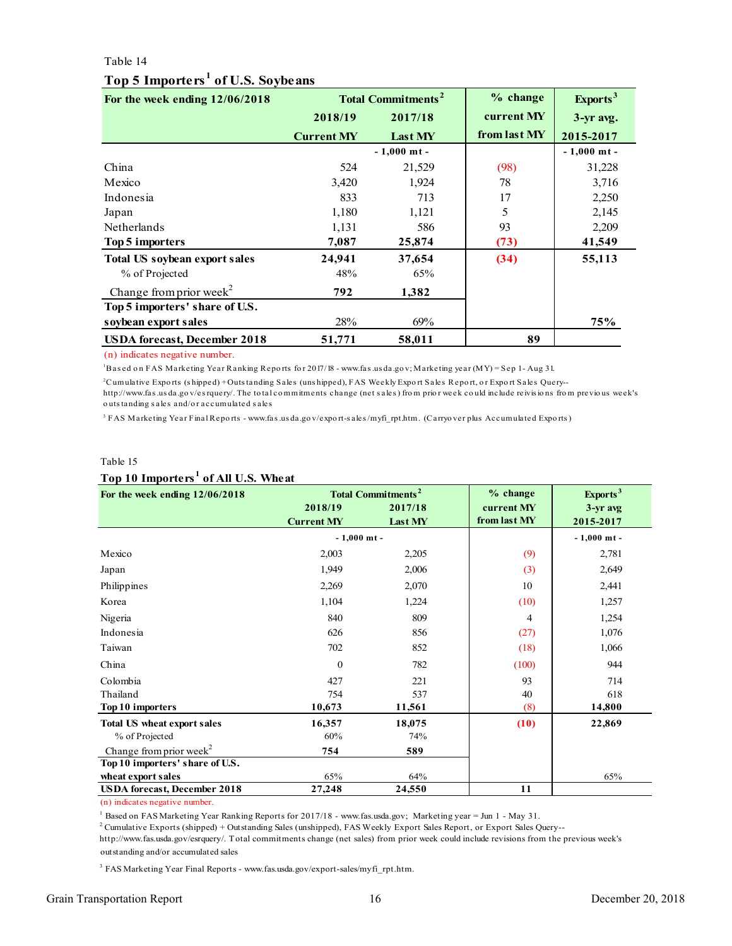#### Table 14

<span id="page-15-0"></span>

| Table 14                                      |                   |                                      |              |                      |
|-----------------------------------------------|-------------------|--------------------------------------|--------------|----------------------|
| Top 5 Importers <sup>1</sup> of U.S. Soybeans |                   |                                      |              |                      |
| For the week ending $12/06/2018$              |                   | <b>Total Commitments<sup>2</sup></b> | $%$ change   | Exports <sup>3</sup> |
|                                               | 2018/19           | 2017/18                              | current MY   | 3-yr avg.            |
|                                               | <b>Current MY</b> | Last MY                              | from last MY | 2015-2017            |
|                                               |                   | $-1,000$ mt -                        |              | $-1,000$ mt -        |
| China                                         | 524               | 21,529                               | (98)         | 31,228               |
| Mexico                                        | 3,420             | 1,924                                | 78           | 3,716                |
| Indonesia                                     | 833               | 713                                  | 17           | 2,250                |
| Japan                                         | 1,180             | 1,121                                | 5            | 2,145                |
| <b>Netherlands</b>                            | 1,131             | 586                                  | 93           | 2,209                |
| Top 5 importers                               | 7,087             | 25,874                               | (73)         | 41,549               |
| <b>Total US soybean export sales</b>          | 24,941            | 37,654                               | (34)         | 55,113               |
| % of Projected                                | 48%               | 65%                                  |              |                      |
| Change from prior week <sup>2</sup>           | 792               | 1,382                                |              |                      |
| Top 5 importers' share of U.S.                |                   |                                      |              |                      |
| soybean export sales                          | 28%               | 69%                                  |              | 75%                  |
| <b>USDA</b> forecast, December 2018           | 51,771            | 58,011                               | 89           |                      |
| (n) indicates negative number.                |                   |                                      |              |                      |

#### **Top 5 Importers <sup>1</sup> of U.S. Soybeans**

(n) indicates negative number.

<sup>1</sup>Bas ed o n FAS Marketing Year Ranking Repo rts fo r 2017/18 - www.fas .us da.go v; Marketing year (MY) = Sep 1 - Aug 31.

Cumulative Exports (shipped)+Outstanding Sales (unshipped), FAS Weekly Export Sales Report, or Export Sales Query-<br>http://www.fas.usda.gov/esrquery/. The total commitments change (net sales) from prior week could include r (n) indicates negative number.<br><sup>1</sup>Based on FAS Marketing Year Ranking Reports for 2017/18 - www.fas.usda.gov; Marketing year (MY) = Sep 1 - Aug 31.<br><sup>2</sup>Cumulative Exports (shipped) + Outstanding Sales (uns hipped), FAS Week (n) indicates negative number.<br>"Based on FAS Marketing Year Ranking Reports for 2017/18 - www.fas.usda.gov; Marketing year (MY) = Sep 1- Aug 31.<br><sup>2</sup>Cumulative Exports (shipped) +Outstanding Sales (unshipped), FAS Weekly Ex <sup>1</sup> Based on FAS Marketing Year Ranking Re<sup>3</sup><br>Cumulative Exports (shipped) + Outs tanding<br>http://www.fas.usda.gov/esrquery/. The total<br>outs tanding sales and/or accumulated sales

<sup>3</sup> FAS Marketing Year Final Reports - www.fas.usda.gov/export-sales/myfi\_rpt.htm. (Carryover plus Accumulated Exports)

#### Table 15

#### **Top 10 Importers <sup>1</sup> of All U.S. Wheat**

| Table 15                                        |                   |                                      |              |                      |  |  |  |
|-------------------------------------------------|-------------------|--------------------------------------|--------------|----------------------|--|--|--|
| Top 10 Importers <sup>1</sup> of All U.S. Wheat |                   |                                      |              |                      |  |  |  |
| For the week ending 12/06/2018                  |                   | <b>Total Commitments<sup>2</sup></b> | % change     | Exports <sup>3</sup> |  |  |  |
|                                                 | 2018/19           | 2017/18                              | current MY   | 3-yr avg             |  |  |  |
|                                                 | <b>Current MY</b> | Last MY                              | from last MY | 2015-2017            |  |  |  |
|                                                 | $-1,000$ mt -     |                                      |              | $-1,000$ mt -        |  |  |  |
| Mexico                                          | 2,003             | 2,205                                | (9)          | 2,781                |  |  |  |
| Japan                                           | 1,949             | 2,006                                | (3)          | 2,649                |  |  |  |
| Philippines                                     | 2,269             | 2,070                                | 10           | 2,441                |  |  |  |
| Korea                                           | 1,104             | 1,224                                | (10)         | 1,257                |  |  |  |
| Nigeria                                         | 840               | 809                                  | 4            | 1,254                |  |  |  |
| Indonesia                                       | 626               | 856                                  | (27)         | 1,076                |  |  |  |
| Taiwan                                          | 702               | 852                                  | (18)         | 1,066                |  |  |  |
| China                                           | $\theta$          | 782                                  | (100)        | 944                  |  |  |  |
| Colombia                                        | 427               | 221                                  | 93           | 714                  |  |  |  |
| Thailand                                        | 754               | 537                                  | 40           | 618                  |  |  |  |
| Top 10 importers                                | 10,673            | 11,561                               | (8)          | 14,800               |  |  |  |
| <b>Total US wheat export sales</b>              | 16,357            | 18,075                               | (10)         | 22,869               |  |  |  |
| % of Projected                                  | 60%               | 74%                                  |              |                      |  |  |  |
| Change from prior week <sup>2</sup>             | 754               | 589                                  |              |                      |  |  |  |
| Top 10 importers' share of U.S.                 |                   |                                      |              |                      |  |  |  |
| wheat export sales                              | 65%               | 64%                                  |              | 65%                  |  |  |  |
| <b>USDA</b> forecast, December 2018             | 27,248            | 24,550                               | 11           |                      |  |  |  |

(n) indicates negative number.

<sup>1</sup> Based on FAS Marketing Year Ranking Reports for 2017/18 - www.fas.usda.gov; Marketing year = Jun 1 - May 31.

2 Cumulative Exports (shipped) + Outstanding Sales (unshipped), FAS Weekly Export Sales Report, or Export Sales Query--

outstanding and/or accumulated sales http://www.fas.usda.gov/esrquery/. Total commitments change (net sales) from prior week could include revisions from the previous week's

<sup>3</sup> FAS Marketing Year Final Reports - www.fas.usda.gov/export-sales/myfi\_rpt.htm.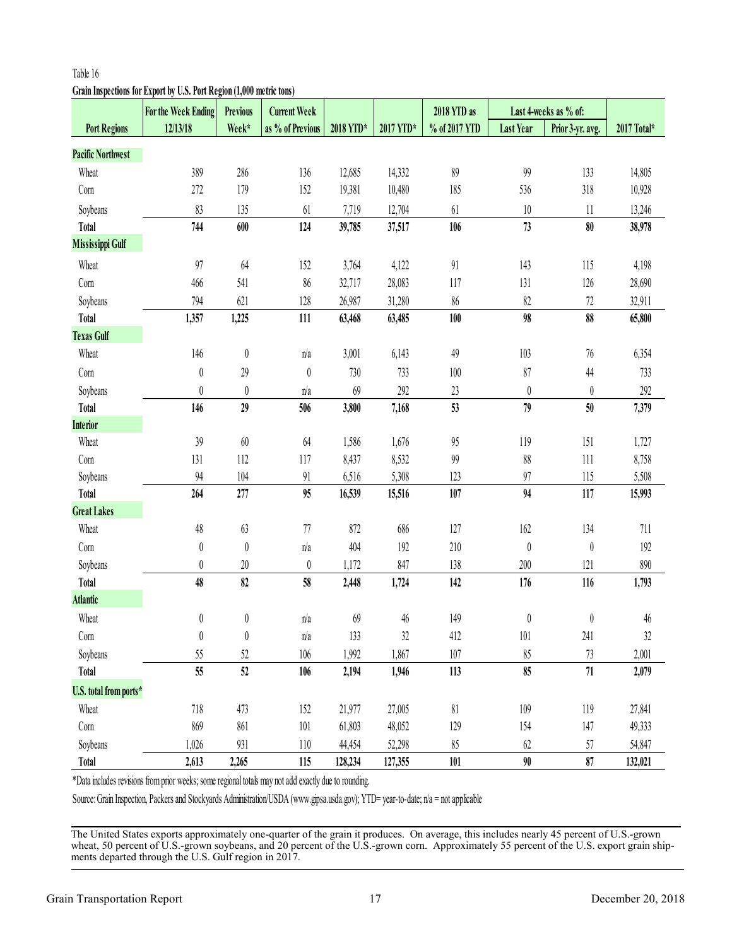# <span id="page-16-0"></span>**Grain Inspections for Export by U.S. Port Region (1,000 metric tons)**

|                          | For the Week Ending                                                                                                                | <b>Previous</b>  | <b>Current Week</b> |           |           | 2018 YTD as   |                               | Last 4-weeks as % of: |             |
|--------------------------|------------------------------------------------------------------------------------------------------------------------------------|------------------|---------------------|-----------|-----------|---------------|-------------------------------|-----------------------|-------------|
| <b>Port Regions</b>      | 12/13/18                                                                                                                           | Week*            | as % of Previous    | 2018 YTD* | 2017 YTD* | % of 2017 YTD | <b>Last Year</b>              | Prior 3-yr. avg.      | 2017 Total* |
| <b>Pacific Northwest</b> |                                                                                                                                    |                  |                     |           |           |               |                               |                       |             |
| Wheat                    | 389                                                                                                                                | 286              | 136                 | 12,685    | 14,332    | 89            | 99                            | 133                   | 14,805      |
| Com                      | 272                                                                                                                                | 179              | 152                 | 19,381    | 10,480    | 185           | 536                           | 318                   | 10,928      |
| Soybeans                 | 83                                                                                                                                 | 135              | 61                  | 7,719     | 12,704    | 61            | $10\,$                        | $11\,$                | 13,246      |
| <b>Total</b>             | 744                                                                                                                                | 600              | 124                 | 39,785    | 37,517    | 106           | 73                            | 80                    | 38,978      |
| <b>Mississippi Gulf</b>  |                                                                                                                                    |                  |                     |           |           |               |                               |                       |             |
| Wheat                    | 97                                                                                                                                 | 64               | 152                 | 3,764     | 4,122     | 91            | 143                           | 115                   | 4,198       |
| Com                      | 466                                                                                                                                | 541              | 86                  | 32,717    | 28,083    | 117           | 131                           | 126                   | 28,690      |
| Soybeans                 | 794                                                                                                                                | 621              | 128                 | 26,987    | 31,280    | $86\,$        | 82                            | 72                    | 32,911      |
| <b>Total</b>             | 1,357                                                                                                                              | 1,225            | 111                 | 63,468    | 63,485    | 100           | 98                            | 88                    | 65,800      |
| <b>Texas Gulf</b>        |                                                                                                                                    |                  |                     |           |           |               |                               |                       |             |
| Wheat                    | 146                                                                                                                                | $\boldsymbol{0}$ | n/a                 | 3,001     | 6,143     | 49            | 103                           | 76                    | 6,354       |
| Com                      | $\boldsymbol{0}$                                                                                                                   | 29               | $\boldsymbol{0}$    | 730       | 733       | 100           | 87                            | $44$                  | 733         |
| Soybeans                 | $\boldsymbol{0}$                                                                                                                   | $\boldsymbol{0}$ | n/a                 | 69        | 292       | $23\,$        | $\boldsymbol{0}$              | $\boldsymbol{0}$      | 292         |
| <b>Total</b>             | 146                                                                                                                                | 29               | 506                 | 3,800     | 7,168     | 53            | 79                            | 50                    | 7,379       |
| <b>Interior</b>          |                                                                                                                                    |                  |                     |           |           |               |                               |                       |             |
| Wheat                    | 39                                                                                                                                 | $60\,$           | 64                  | 1,586     | 1,676     | 95            | 119                           | 151                   | 1,727       |
| Com                      | 131                                                                                                                                | 112              | 117                 | 8,437     | 8,532     | 99            | 88                            | 111                   | 8,758       |
| Soybeans                 | 94                                                                                                                                 | 104              | $91$                | 6,516     | 5,308     | 123           | 97                            | 115                   | 5,508       |
| <b>Total</b>             | 264                                                                                                                                | 277              | 95                  | 16,539    | 15,516    | 107           | 94                            | 117                   | 15,993      |
| <b>Great Lakes</b>       |                                                                                                                                    |                  |                     |           |           |               |                               |                       |             |
| Wheat                    | 48                                                                                                                                 | 63               | 77                  | 872       | 686       | 127           | 162                           | 134                   | 711         |
| Com                      | $\boldsymbol{0}$                                                                                                                   | $\boldsymbol{0}$ | n/a                 | 404       | 192       | 210           | $\begin{matrix} \end{matrix}$ | $\boldsymbol{0}$      | 192         |
| Soybeans                 | $\boldsymbol{0}$                                                                                                                   | $20\,$           | $\boldsymbol{0}$    | 1,172     | 847       | 138           | 200                           | 121                   | 890         |
| <b>Total</b>             | 48                                                                                                                                 | 82               | 58                  | 2,448     | 1,724     | 142           | 176                           | 116                   | 1,793       |
| <b>Atlantic</b>          |                                                                                                                                    |                  |                     |           |           |               |                               |                       |             |
| Wheat                    | 0                                                                                                                                  | 0                | n/a                 | 69        | 46        | 149           | $\boldsymbol{0}$              | 0                     | 46          |
| Com                      | 0                                                                                                                                  | $\pmb{0}$        | n/a                 | 133       | 32        | 412           | 101                           | 241                   | 32          |
| Soybeans                 | 55                                                                                                                                 | 52               | 106                 | 1,992     | 1,867     | 107           | 85                            | 73                    | 2,001       |
| <b>Total</b>             | 55                                                                                                                                 | 52               | 106                 | 2,194     | 1,946     | 113           | 85                            | $71\,$                | 2,079       |
| U.S. total from ports*   |                                                                                                                                    |                  |                     |           |           |               |                               |                       |             |
| Wheat                    | 718                                                                                                                                | 473              | 152                 | 21,977    | 27,005    | 81            | 109                           | 119                   | 27,841      |
| Com                      | 869                                                                                                                                | 861              | 101                 | 61,803    | 48,052    | 129           | 154                           | 147                   | 49,333      |
| Soybeans                 | 1,026                                                                                                                              | 931              | 110                 | 44,454    | 52,298    | 85            | 62                            | 57                    | 54,847      |
| <b>Total</b>             | 2,613                                                                                                                              | 2,265            | 115                 | 128,234   | 127,355   | 101           | 90                            | 87                    | 132,021     |
|                          | *Data includes revisions from prior weeks; some regional totals may not add exactly due to rounding.                               |                  |                     |           |           |               |                               |                       |             |
|                          | Source: Grain Inspection, Packers and Stockyards Administration/USDA (www.gipsa.usda.gov); YTD= year-to-date; n/a = not applicable |                  |                     |           |           |               |                               |                       |             |

The United States exports approximately one-quarter of the grain it produces. On average, this includes nearly 45 percent of U.S.-grown wheat, 50 percent of U.S.-grown soybeans, and 20 percent of the U.S.-grown corn. Approximately 55 percent of the U.S. export grain ship-<br>ments departed through the U.S. Gulf region in 2017.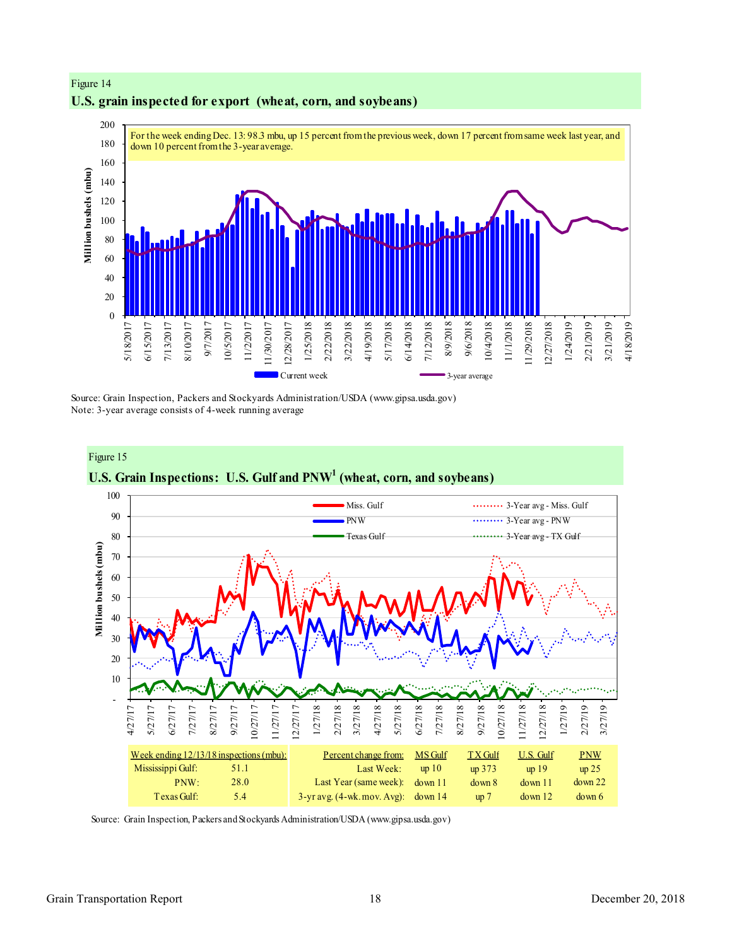

#### **U.S. grain inspected for export (wheat, corn, and soybeans)**

Figure 14

Figure 15

Source: Grain Inspection, Packers and Stockyards Administration/USDA (www.gipsa.usda.gov) Note: 3-year average consists of 4-week running average



Source: Grain Inspection, Packers and Stockyards Administration/USDA (www.gipsa.usda.gov)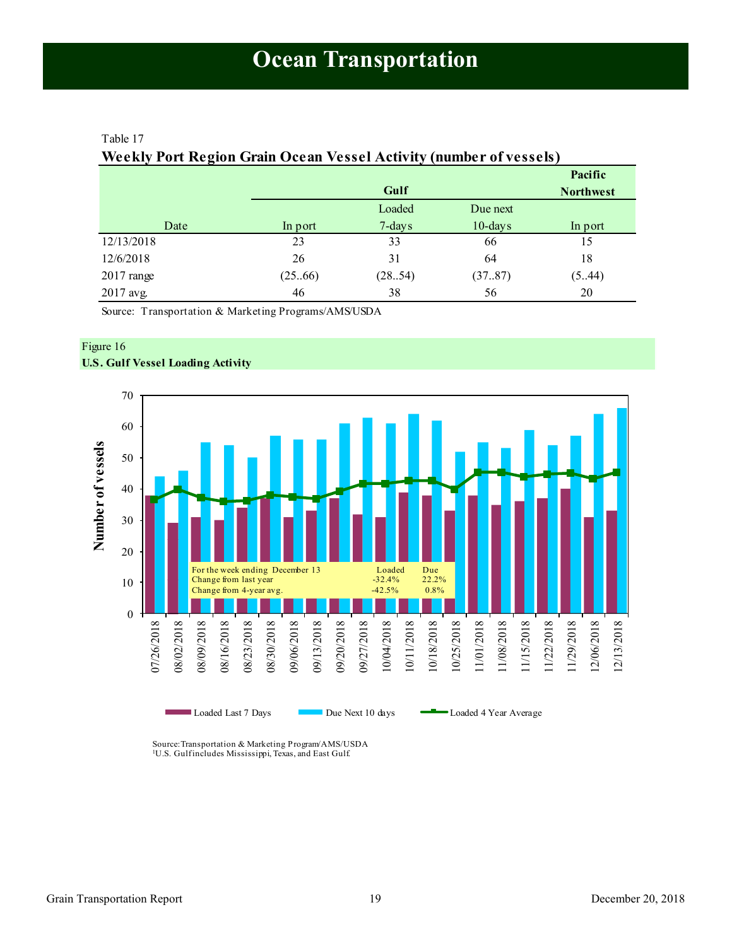#### <span id="page-18-1"></span><span id="page-18-0"></span>Table 17

#### **Weekly Port Region Grain Ocean Vessel Activity (number of vessels)**

|              |         |           |            | Pacific          |
|--------------|---------|-----------|------------|------------------|
|              |         | Gulf      |            | <b>Northwest</b> |
|              |         | Loaded    | Due next   |                  |
| Date         | In port | $7$ -days | $10$ -days | In port          |
| 12/13/2018   | 23      | 33        | 66         | 15               |
| 12/6/2018    | 26      | 31        | 64         | 18               |
| $2017$ range | (25.66) | (28.54)   | (3787)     | (5.44)           |
| 2017 avg.    | 46      | 38        | 56         | 20               |

Source: Transportation & Marketing Programs/AMS/USDA



#### Figure 16 **U.S. Gulf Vessel Loading Activity**

Source:Transportation & Marketing Program/AMS/USDA <sup>1</sup>U.S. Gulfincludes Mississippi, Texas, and East Gulf.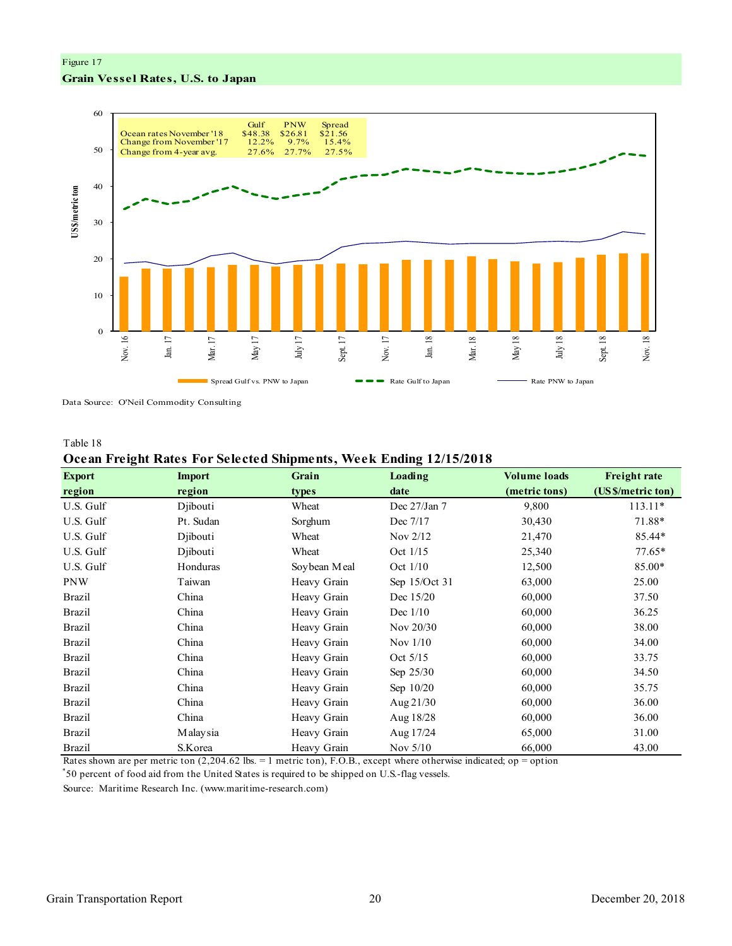#### Figure 17 **Grain Vessel Rates, U.S. to Japan**



Data Source: O'Neil Commodity Consulting

#### Table 18

#### **Ocean Freight Rates For Selected Shipments, Week Ending 12/15/2018**

| <b>Export</b> | <b>Import</b> | Grain        | Loading       | <b>Volume loads</b> | <b>Freight rate</b> |
|---------------|---------------|--------------|---------------|---------------------|---------------------|
| region        | region        | types        | date          | (metric tons)       | (US \$/metric ton)  |
| U.S. Gulf     | Djibouti      | Wheat        | Dec 27/Jan 7  | 9,800               | $113.11*$           |
| U.S. Gulf     | Pt. Sudan     | Sorghum      | Dec 7/17      | 30,430              | 71.88*              |
| U.S. Gulf     | Djibouti      | Wheat        | Nov 2/12      | 21,470              | 85.44*              |
| U.S. Gulf     | Diibouti      | Wheat        | Oct 1/15      | 25,340              | $77.65*$            |
| U.S. Gulf     | Honduras      | Soybean Meal | Oct 1/10      | 12,500              | 85.00*              |
| <b>PNW</b>    | Taiwan        | Heavy Grain  | Sep 15/Oct 31 | 63,000              | 25.00               |
| <b>Brazil</b> | China         | Heavy Grain  | Dec 15/20     | 60,000              | 37.50               |
| <b>Brazil</b> | China         | Heavy Grain  | Dec $1/10$    | 60,000              | 36.25               |
| <b>Brazil</b> | China         | Heavy Grain  | Nov 20/30     | 60,000              | 38.00               |
| <b>Brazil</b> | China         | Heavy Grain  | Nov $1/10$    | 60,000              | 34.00               |
| <b>Brazil</b> | China         | Heavy Grain  | Oct $5/15$    | 60,000              | 33.75               |
| <b>Brazil</b> | China         | Heavy Grain  | Sep $25/30$   | 60,000              | 34.50               |
| <b>Brazil</b> | China         | Heavy Grain  | Sep $10/20$   | 60,000              | 35.75               |
| <b>Brazil</b> | China         | Heavy Grain  | Aug $21/30$   | 60,000              | 36.00               |
| <b>Brazil</b> | China         | Heavy Grain  | Aug $18/28$   | 60,000              | 36.00               |
| <b>Brazil</b> | M alay sia    | Heavy Grain  | Aug 17/24     | 65,000              | 31.00               |
| <b>Brazil</b> | S.Korea       | Heavy Grain  | Nov $5/10$    | 66,000              | 43.00               |

Rates shown are per metric ton (2,204.62 lbs. = 1 metric ton), F.O.B., except where otherwise indicated; op = option

\* 50 percent of food aid from the United States is required to be shipped on U.S.-flag vessels.

Source: Maritime Research Inc. (www.maritime-research.com)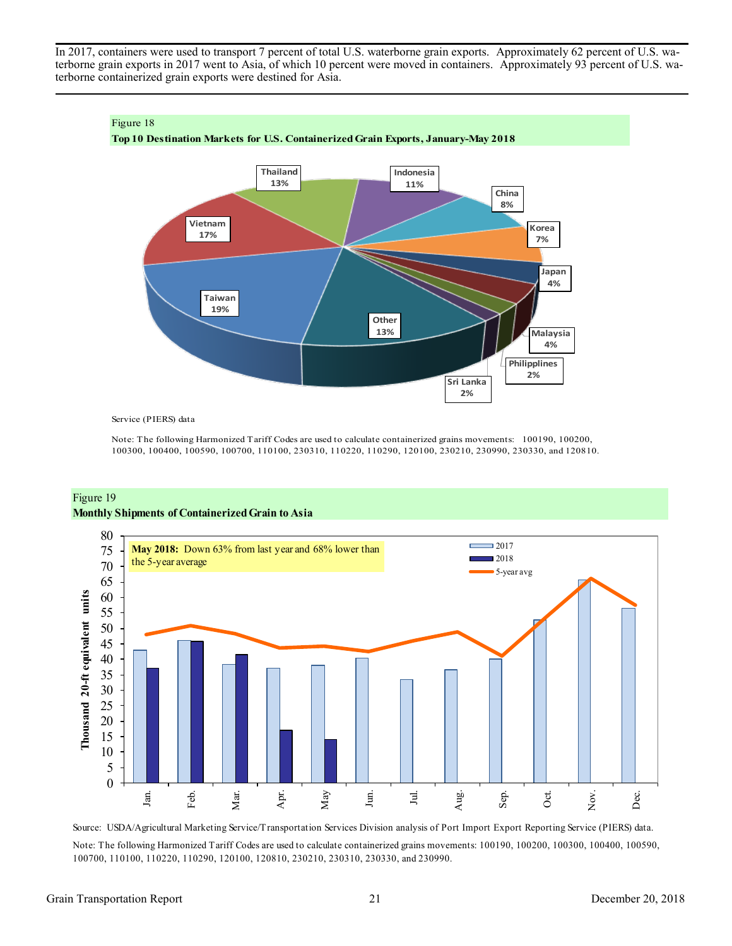In 2017, containers were used to transport 7 percent of total U.S. waterborne grain exports. Approximately 62 percent of U.S. waterborne grain exports in 2017 went to Asia, of which 10 percent were moved in containers. Approximately 93 percent of U.S. waterborne containerized grain exports were destined for Asia.



Service (PIERS) data

Note: The following Harmonized Tariff Codes are used to calculate containerized grains movements: 100190, 100200, 100300, 100400, 100590, 100700, 110100, 230310, 110220, 110290, 120100, 230210, 230990, 230330, and 120810.

#### Figure 19 **Monthly Shipments of Containerized Grain to Asia**



Source: USDA/Agricultural Marketing Service/Transportation Services Division analysis of Port Import Export Reporting Service (PIERS) data. Note: The following Harmonized Tariff Codes are used to calculate containerized grains movements: 100190, 100200, 100300, 100400, 100590, 100700, 110100, 110220, 110290, 120100, 120810, 230210, 230310, 230330, and 230990.